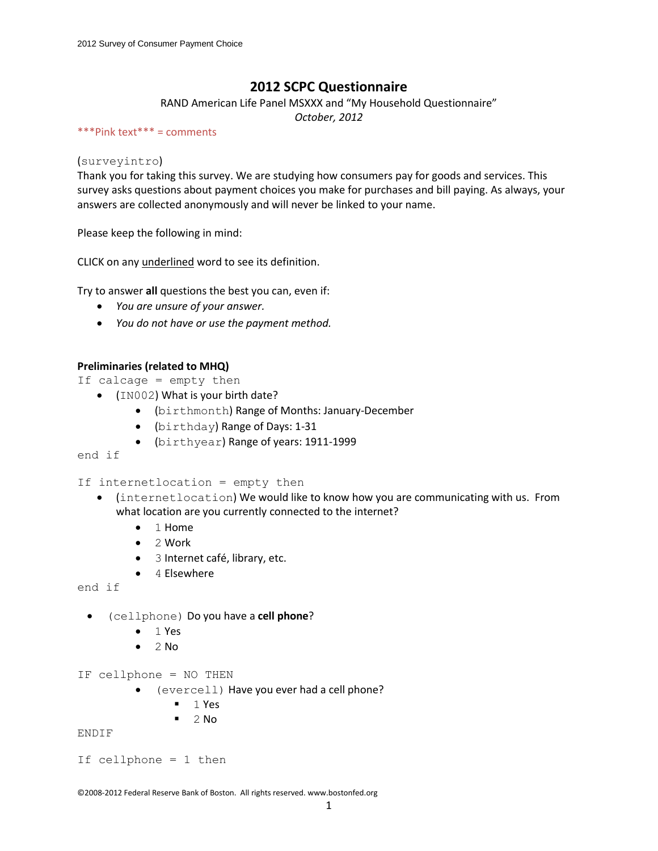# **2012 SCPC Questionnaire**

RAND American Life Panel MSXXX and "My Household Questionnaire"

*October, 2012*

#### \*\*\*Pink text\*\*\* = comments

### (surveyintro)

Thank you for taking this survey. We are studying how consumers pay for goods and services. This survey asks questions about payment choices you make for purchases and bill paying. As always, your answers are collected anonymously and will never be linked to your name.

Please keep the following in mind:

CLICK on any underlined word to see its definition.

Try to answer **all** questions the best you can, even if:

- *You are unsure of your answer.*
- *You do not have or use the payment method.*

### **Preliminaries (related to MHQ)**

- If calcage = empty then
	- (IN002) What is your birth date?
		- (birthmonth) Range of Months: January-December
		- (birthday) Range of Days: 1-31
		- (birthyear) Range of years: 1911-1999

end if

If internetlocation = empty then

- (internetlocation) We would like to know how you are communicating with us. From what location are you currently connected to the internet?
	- 1 Home
	- 2 Work
	- 3 Internet café, library, etc.
	- 4 Elsewhere

end if

- (cellphone) Do you have a **cell phone**?
	- $-1$  Yes
	- $\bullet$  2 No

IF cellphone = NO THEN

- (evercell) Have you ever had a cell phone?
	- $1 Yes$
	- $\blacksquare$  2 No

ENDIF

```
If cellphone = 1 then
```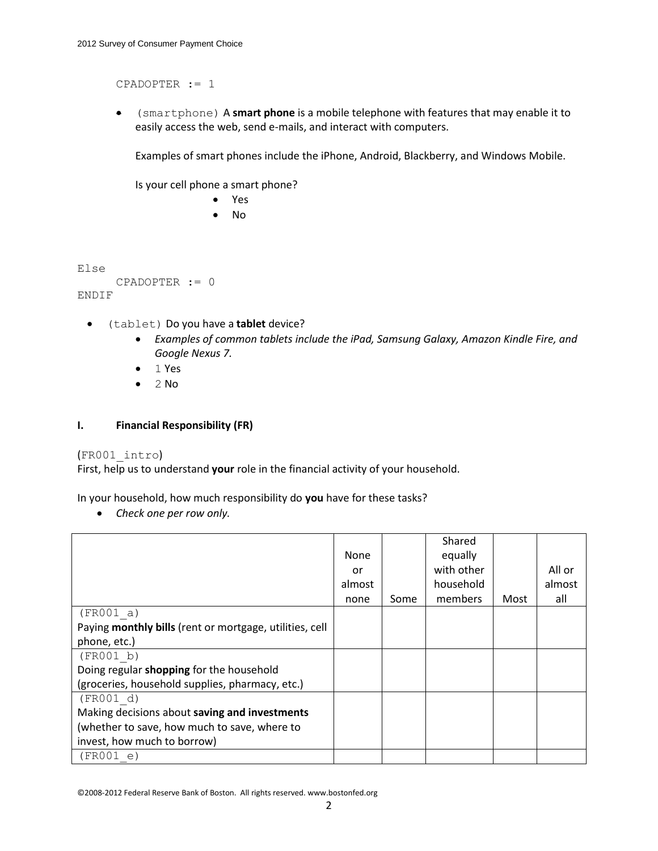CPADOPTER := 1

 (smartphone) A **smart phone** is a mobile telephone with features that may enable it to easily access the web, send e-mails, and interact with computers.

Examples of smart phones include the iPhone, Android, Blackberry, and Windows Mobile.

Is your cell phone a smart phone?

 Yes No

Else

```
CPADOPTER := 0
ENDIF
```
- (tablet) Do you have a **tablet** device?
	- *Examples of common tablets include the iPad, Samsung Galaxy, Amazon Kindle Fire, and Google Nexus 7.*
	- $-1$  Yes
	- $\bullet$  2 No

### **I. Financial Responsibility (FR)**

### (FR001\_intro)

First, help us to understand **your** role in the financial activity of your household.

In your household, how much responsibility do **you** have for these tasks?

*Check one per row only.*

|                                                         |             |      | Shared     |      |        |
|---------------------------------------------------------|-------------|------|------------|------|--------|
|                                                         | <b>None</b> |      | equally    |      |        |
|                                                         | or          |      | with other |      | All or |
|                                                         | almost      |      | household  |      | almost |
|                                                         | none        | Some | members    | Most | all    |
| (FR001 a)                                               |             |      |            |      |        |
| Paying monthly bills (rent or mortgage, utilities, cell |             |      |            |      |        |
| phone, etc.)                                            |             |      |            |      |        |
| (FR001 b)                                               |             |      |            |      |        |
| Doing regular shopping for the household                |             |      |            |      |        |
| (groceries, household supplies, pharmacy, etc.)         |             |      |            |      |        |
| (FR001 d)                                               |             |      |            |      |        |
| Making decisions about saving and investments           |             |      |            |      |        |
| (whether to save, how much to save, where to            |             |      |            |      |        |
| invest, how much to borrow)                             |             |      |            |      |        |
| (FR001 e)                                               |             |      |            |      |        |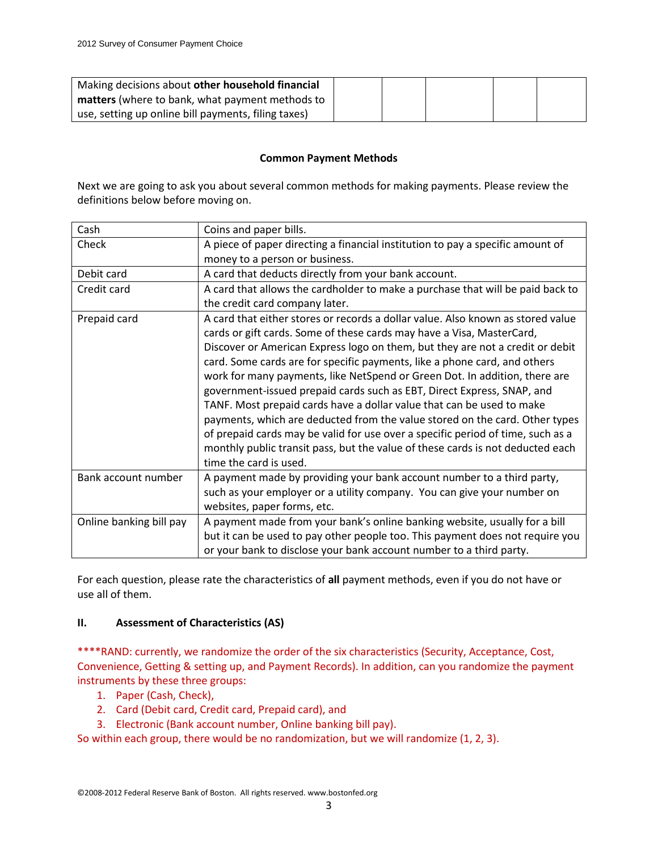| Making decisions about other household financial       |  |  |  |
|--------------------------------------------------------|--|--|--|
| <b>matters</b> (where to bank, what payment methods to |  |  |  |
| use, setting up online bill payments, filing taxes)    |  |  |  |

# **Common Payment Methods**

Next we are going to ask you about several common methods for making payments. Please review the definitions below before moving on.

| Cash                    | Coins and paper bills.                                                                                                                                                                                                                                                                                                                                                                                                                                                                                                                                                                                                                                                                                                                                                                                                                |
|-------------------------|---------------------------------------------------------------------------------------------------------------------------------------------------------------------------------------------------------------------------------------------------------------------------------------------------------------------------------------------------------------------------------------------------------------------------------------------------------------------------------------------------------------------------------------------------------------------------------------------------------------------------------------------------------------------------------------------------------------------------------------------------------------------------------------------------------------------------------------|
| Check                   | A piece of paper directing a financial institution to pay a specific amount of                                                                                                                                                                                                                                                                                                                                                                                                                                                                                                                                                                                                                                                                                                                                                        |
|                         | money to a person or business.                                                                                                                                                                                                                                                                                                                                                                                                                                                                                                                                                                                                                                                                                                                                                                                                        |
| Debit card              | A card that deducts directly from your bank account.                                                                                                                                                                                                                                                                                                                                                                                                                                                                                                                                                                                                                                                                                                                                                                                  |
| Credit card             | A card that allows the cardholder to make a purchase that will be paid back to                                                                                                                                                                                                                                                                                                                                                                                                                                                                                                                                                                                                                                                                                                                                                        |
|                         | the credit card company later.                                                                                                                                                                                                                                                                                                                                                                                                                                                                                                                                                                                                                                                                                                                                                                                                        |
| Prepaid card            | A card that either stores or records a dollar value. Also known as stored value<br>cards or gift cards. Some of these cards may have a Visa, MasterCard,<br>Discover or American Express logo on them, but they are not a credit or debit<br>card. Some cards are for specific payments, like a phone card, and others<br>work for many payments, like NetSpend or Green Dot. In addition, there are<br>government-issued prepaid cards such as EBT, Direct Express, SNAP, and<br>TANF. Most prepaid cards have a dollar value that can be used to make<br>payments, which are deducted from the value stored on the card. Other types<br>of prepaid cards may be valid for use over a specific period of time, such as a<br>monthly public transit pass, but the value of these cards is not deducted each<br>time the card is used. |
| Bank account number     | A payment made by providing your bank account number to a third party,<br>such as your employer or a utility company. You can give your number on<br>websites, paper forms, etc.                                                                                                                                                                                                                                                                                                                                                                                                                                                                                                                                                                                                                                                      |
| Online banking bill pay | A payment made from your bank's online banking website, usually for a bill                                                                                                                                                                                                                                                                                                                                                                                                                                                                                                                                                                                                                                                                                                                                                            |
|                         | but it can be used to pay other people too. This payment does not require you                                                                                                                                                                                                                                                                                                                                                                                                                                                                                                                                                                                                                                                                                                                                                         |
|                         | or your bank to disclose your bank account number to a third party.                                                                                                                                                                                                                                                                                                                                                                                                                                                                                                                                                                                                                                                                                                                                                                   |

For each question, please rate the characteristics of **all** payment methods, even if you do not have or use all of them.

# **II. Assessment of Characteristics (AS)**

\*\*\*\*RAND: currently, we randomize the order of the six characteristics (Security, Acceptance, Cost, Convenience, Getting & setting up, and Payment Records). In addition, can you randomize the payment instruments by these three groups:

- 1. Paper (Cash, Check),
- 2. Card (Debit card, Credit card, Prepaid card), and
- 3. Electronic (Bank account number, Online banking bill pay).

So within each group, there would be no randomization, but we will randomize (1, 2, 3).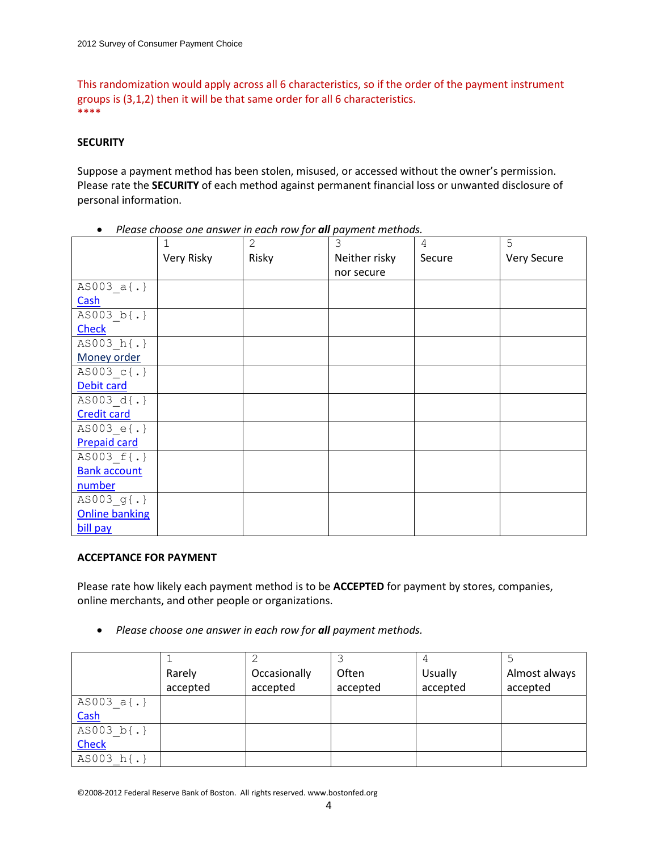This randomization would apply across all 6 characteristics, so if the order of the payment instrument groups is (3,1,2) then it will be that same order for all 6 characteristics. \*\*\*\*

### **SECURITY**

Suppose a payment method has been stolen, misused, or accessed without the owner's permission. Please rate the **SECURITY** of each method against permanent financial loss or unwanted disclosure of personal information.

|                       | 1          | $\overline{2}$ | 3             | 4      | 5           |
|-----------------------|------------|----------------|---------------|--------|-------------|
|                       | Very Risky | Risky          | Neither risky | Secure | Very Secure |
|                       |            |                | nor secure    |        |             |
| AS003 a{.}            |            |                |               |        |             |
| Cash                  |            |                |               |        |             |
| AS003 b{.}            |            |                |               |        |             |
| <b>Check</b>          |            |                |               |        |             |
| AS003 h{.}            |            |                |               |        |             |
| Money order           |            |                |               |        |             |
| AS003 c{.}            |            |                |               |        |             |
| Debit card            |            |                |               |        |             |
| AS003 d{.}            |            |                |               |        |             |
| <b>Credit card</b>    |            |                |               |        |             |
| AS003 $e\{.\}$        |            |                |               |        |             |
| <b>Prepaid card</b>   |            |                |               |        |             |
| AS003 f{.}            |            |                |               |        |             |
| <b>Bank account</b>   |            |                |               |        |             |
| number                |            |                |               |        |             |
| $AS003$ g{.}          |            |                |               |        |             |
| <b>Online banking</b> |            |                |               |        |             |
| bill pay              |            |                |               |        |             |

• Please choose one answer in each row for **all** payment methods.

### **ACCEPTANCE FOR PAYMENT**

Please rate how likely each payment method is to be **ACCEPTED** for payment by stores, companies, online merchants, and other people or organizations.

*Please choose one answer in each row for all payment methods.*

|              | Rarely   | Occasionally | Often    | <b>Usually</b> | Almost always |
|--------------|----------|--------------|----------|----------------|---------------|
|              | accepted | accepted     | accepted | accepted       | accepted      |
| AS003 $a(.)$ |          |              |          |                |               |
| Cash         |          |              |          |                |               |
| AS003 $b(.)$ |          |              |          |                |               |
| Check        |          |              |          |                |               |
| AS003 h{.}   |          |              |          |                |               |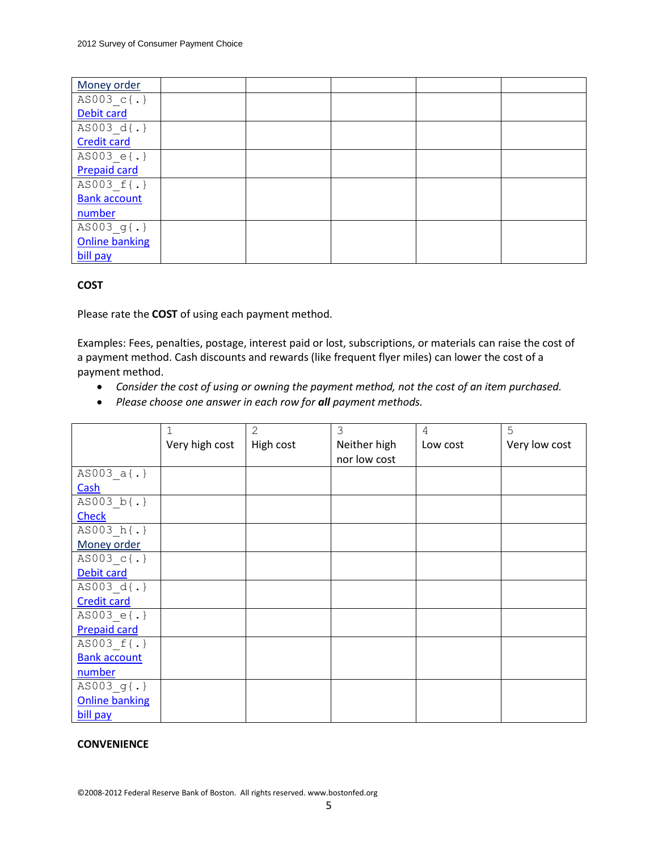| Money order           |  |  |  |
|-----------------------|--|--|--|
| AS003 c{.}            |  |  |  |
| Debit card            |  |  |  |
| AS003 d{.}            |  |  |  |
| <b>Credit card</b>    |  |  |  |
| AS003 e{.}            |  |  |  |
| <b>Prepaid card</b>   |  |  |  |
| AS003 f{.}            |  |  |  |
| <b>Bank account</b>   |  |  |  |
| number                |  |  |  |
| AS003 g{.}            |  |  |  |
| <b>Online banking</b> |  |  |  |
| bill pay              |  |  |  |

# **COST**

Please rate the **COST** of using each payment method.

Examples: Fees, penalties, postage, interest paid or lost, subscriptions, or materials can raise the cost of a payment method. Cash discounts and rewards (like frequent flyer miles) can lower the cost of a payment method.

- *Consider the cost of using or owning the payment method, not the cost of an item purchased.*
- *Please choose one answer in each row for all payment methods.*

|                       | 1              | $\overline{2}$ | 3            | 4        | 5             |
|-----------------------|----------------|----------------|--------------|----------|---------------|
|                       | Very high cost | High cost      | Neither high | Low cost | Very low cost |
|                       |                |                | nor low cost |          |               |
| $AS003_a$ {.}         |                |                |              |          |               |
| Cash                  |                |                |              |          |               |
| AS003 b{.}            |                |                |              |          |               |
| <b>Check</b>          |                |                |              |          |               |
| AS003 h{.}            |                |                |              |          |               |
| Money order           |                |                |              |          |               |
| AS003 c{.}            |                |                |              |          |               |
| Debit card            |                |                |              |          |               |
| AS003 d{.}            |                |                |              |          |               |
| <b>Credit card</b>    |                |                |              |          |               |
| AS003 $e$ {.}         |                |                |              |          |               |
| <b>Prepaid card</b>   |                |                |              |          |               |
| AS003 f{.}            |                |                |              |          |               |
| <b>Bank account</b>   |                |                |              |          |               |
| number                |                |                |              |          |               |
| $AS003$ g{.}          |                |                |              |          |               |
| <b>Online banking</b> |                |                |              |          |               |
| bill pay              |                |                |              |          |               |

### **CONVENIENCE**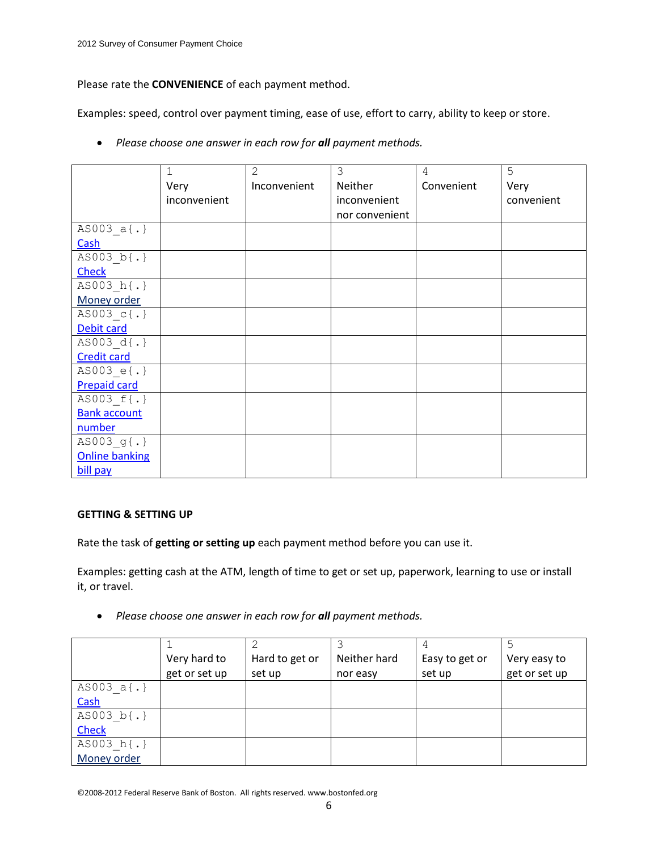Please rate the **CONVENIENCE** of each payment method.

Examples: speed, control over payment timing, ease of use, effort to carry, ability to keep or store.

|                       | 1            | $\overline{2}$ | 3              | 4          | 5          |
|-----------------------|--------------|----------------|----------------|------------|------------|
|                       | Very         | Inconvenient   | Neither        | Convenient | Very       |
|                       | inconvenient |                | inconvenient   |            | convenient |
|                       |              |                | nor convenient |            |            |
| AS003 a{.}            |              |                |                |            |            |
| Cash                  |              |                |                |            |            |
| AS003 b{.}            |              |                |                |            |            |
| <b>Check</b>          |              |                |                |            |            |
| AS003 h{.}            |              |                |                |            |            |
| Money order           |              |                |                |            |            |
| AS003 c{.}            |              |                |                |            |            |
| Debit card            |              |                |                |            |            |
| AS003 d{.}            |              |                |                |            |            |
| <b>Credit card</b>    |              |                |                |            |            |
| AS003 e{.}            |              |                |                |            |            |
| <b>Prepaid card</b>   |              |                |                |            |            |
| AS003 f{.}            |              |                |                |            |            |
| <b>Bank account</b>   |              |                |                |            |            |
| number                |              |                |                |            |            |
| AS003 g{.}            |              |                |                |            |            |
| <b>Online banking</b> |              |                |                |            |            |
| bill pay              |              |                |                |            |            |

**•** Please choose one answer in each row for **all** payment methods.

# **GETTING & SETTING UP**

Rate the task of **getting or setting up** each payment method before you can use it.

Examples: getting cash at the ATM, length of time to get or set up, paperwork, learning to use or install it, or travel.

**•** Please choose one answer in each row for **all** payment methods.

|              | Very hard to  | Hard to get or | Neither hard | Easy to get or | Very easy to  |
|--------------|---------------|----------------|--------------|----------------|---------------|
|              | get or set up | set up         | nor easy     | set up         | get or set up |
| AS003 $a(.)$ |               |                |              |                |               |
| Cash         |               |                |              |                |               |
| AS003 b{.}   |               |                |              |                |               |
| <b>Check</b> |               |                |              |                |               |
| AS003 h{.}   |               |                |              |                |               |
| Money order  |               |                |              |                |               |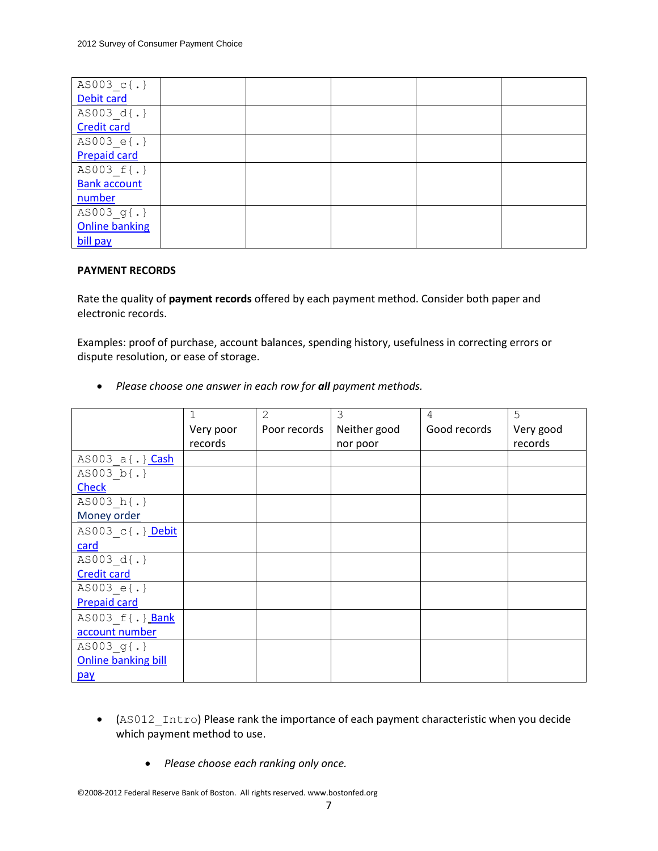| AS003 c{.}            |  |  |  |
|-----------------------|--|--|--|
| Debit card            |  |  |  |
| AS003 d{.}            |  |  |  |
| <b>Credit card</b>    |  |  |  |
| AS003 e{.}            |  |  |  |
| <b>Prepaid card</b>   |  |  |  |
| AS003 f{.}            |  |  |  |
| <b>Bank account</b>   |  |  |  |
| number                |  |  |  |
| AS003 g{.}            |  |  |  |
| <b>Online banking</b> |  |  |  |
| bill pay              |  |  |  |

# **PAYMENT RECORDS**

Rate the quality of **payment records** offered by each payment method. Consider both paper and electronic records.

Examples: proof of purchase, account balances, spending history, usefulness in correcting errors or dispute resolution, or ease of storage.

|                                      |           | 2            | 3            | 4            | 5         |
|--------------------------------------|-----------|--------------|--------------|--------------|-----------|
|                                      | Very poor | Poor records | Neither good | Good records | Very good |
|                                      | records   |              | nor poor     |              | records   |
| AS003 a{.} Cash                      |           |              |              |              |           |
| AS003 b{.}                           |           |              |              |              |           |
| <b>Check</b>                         |           |              |              |              |           |
| $\overline{\text{AS003 h}\{\cdot\}}$ |           |              |              |              |           |
| Money order                          |           |              |              |              |           |
| AS003 c{.} Debit                     |           |              |              |              |           |
| card                                 |           |              |              |              |           |
| AS003 d{.}                           |           |              |              |              |           |
| <b>Credit card</b>                   |           |              |              |              |           |
| AS003 e{.}                           |           |              |              |              |           |
| <b>Prepaid card</b>                  |           |              |              |              |           |
| AS003 f{.} Bank                      |           |              |              |              |           |
| account number                       |           |              |              |              |           |
| AS003 g{.}                           |           |              |              |              |           |
| <b>Online banking bill</b>           |           |              |              |              |           |
| pay                                  |           |              |              |              |           |

**•** Please choose one answer in each row for **all** payment methods.

- (AS012\_Intro) Please rank the importance of each payment characteristic when you decide which payment method to use.
	- *Please choose each ranking only once.*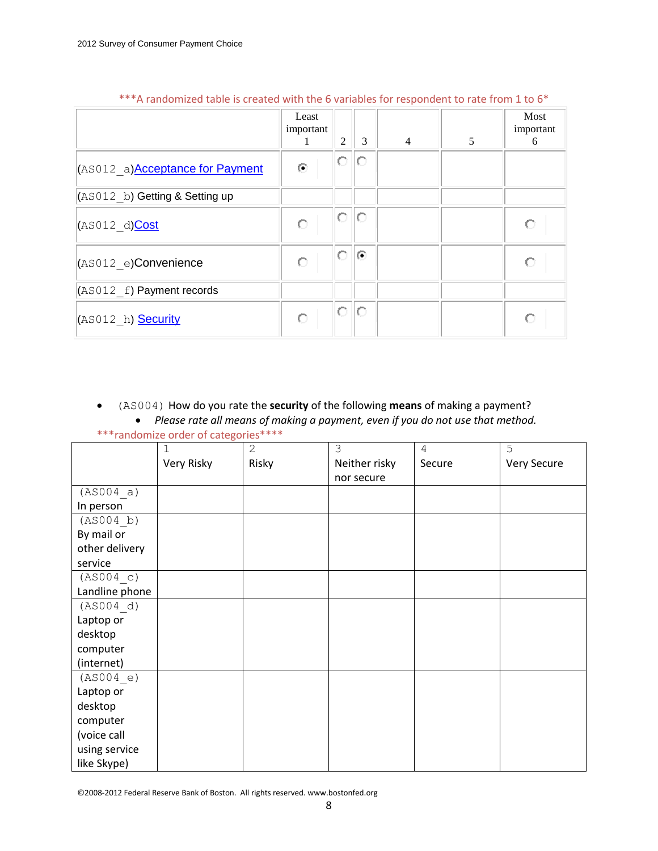|                                         | Least<br>important<br>-1 | $\overline{2}$ | 3       | $\overline{4}$ | 5 | Most<br>important<br>6 |
|-----------------------------------------|--------------------------|----------------|---------|----------------|---|------------------------|
| (AS012 a) <b>Acceptance for Payment</b> | $\odot$                  | О              | О       |                |   |                        |
| $(AS012 b)$ Getting & Setting up        |                          |                |         |                |   |                        |
| (AS012 d)Cost                           | О                        | 0              | О       |                |   |                        |
| $ $ (AS012 e)Convenience                | О                        | О              | $\odot$ |                |   |                        |
| $ $ (AS012 f) Payment records           |                          |                |         |                |   |                        |
| (AS012_h) <b>Security</b>               | Ō                        | О              | О       |                |   |                        |

# \*\*\*A randomized table is created with the 6 variables for respondent to rate from 1 to 6\*

(AS004) How do you rate the **security** of the following **means** of making a payment?

 *Please rate all means of making a payment, even if you do not use that method.* \*\*\*randomize order of categories\*\*\*\*

|                | 1          | $\mathbf{2}$ | 3             | 4      | 5           |
|----------------|------------|--------------|---------------|--------|-------------|
|                | Very Risky | Risky        | Neither risky | Secure | Very Secure |
|                |            |              | nor secure    |        |             |
| (AS004 a)      |            |              |               |        |             |
| In person      |            |              |               |        |             |
| (AS004 b)      |            |              |               |        |             |
| By mail or     |            |              |               |        |             |
| other delivery |            |              |               |        |             |
| service        |            |              |               |        |             |
| (AS004 c)      |            |              |               |        |             |
| Landline phone |            |              |               |        |             |
| (AS004 d)      |            |              |               |        |             |
| Laptop or      |            |              |               |        |             |
| desktop        |            |              |               |        |             |
| computer       |            |              |               |        |             |
| (internet)     |            |              |               |        |             |
| (AS004 e)      |            |              |               |        |             |
| Laptop or      |            |              |               |        |             |
| desktop        |            |              |               |        |             |
| computer       |            |              |               |        |             |
| (voice call    |            |              |               |        |             |
| using service  |            |              |               |        |             |
| like Skype)    |            |              |               |        |             |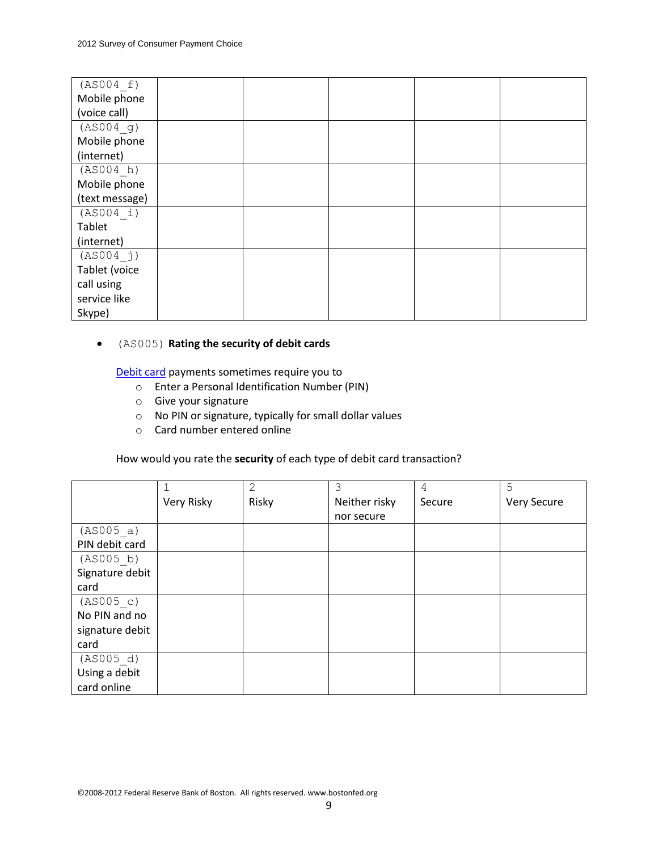| (AS004 f)      |  |  |  |
|----------------|--|--|--|
| Mobile phone   |  |  |  |
| (voice call)   |  |  |  |
| (AS004 g)      |  |  |  |
| Mobile phone   |  |  |  |
| (internet)     |  |  |  |
| (AS004 h)      |  |  |  |
| Mobile phone   |  |  |  |
| (text message) |  |  |  |
| (AS004 i)      |  |  |  |
| Tablet         |  |  |  |
| (internet)     |  |  |  |
| (AS004 j)      |  |  |  |
| Tablet (voice  |  |  |  |
| call using     |  |  |  |
| service like   |  |  |  |
| Skype)         |  |  |  |

# (AS005) **Rating the security of debit cards**

Debit card payments sometimes require you to

- o Enter a Personal Identification Number (PIN)
- o Give your signature
- o No PIN or signature, typically for small dollar values
- o Card number entered online

How would you rate the **security** of each type of debit card transaction?

|                 |            | $\overline{2}$ | 3             | 4      | 5           |
|-----------------|------------|----------------|---------------|--------|-------------|
|                 | Very Risky | Risky          | Neither risky | Secure | Very Secure |
|                 |            |                | nor secure    |        |             |
| (AS005 a)       |            |                |               |        |             |
| PIN debit card  |            |                |               |        |             |
| (AS005 b)       |            |                |               |        |             |
| Signature debit |            |                |               |        |             |
| card            |            |                |               |        |             |
| (AS005 c)       |            |                |               |        |             |
| No PIN and no   |            |                |               |        |             |
| signature debit |            |                |               |        |             |
| card            |            |                |               |        |             |
| (AS005 d)       |            |                |               |        |             |
| Using a debit   |            |                |               |        |             |
| card online     |            |                |               |        |             |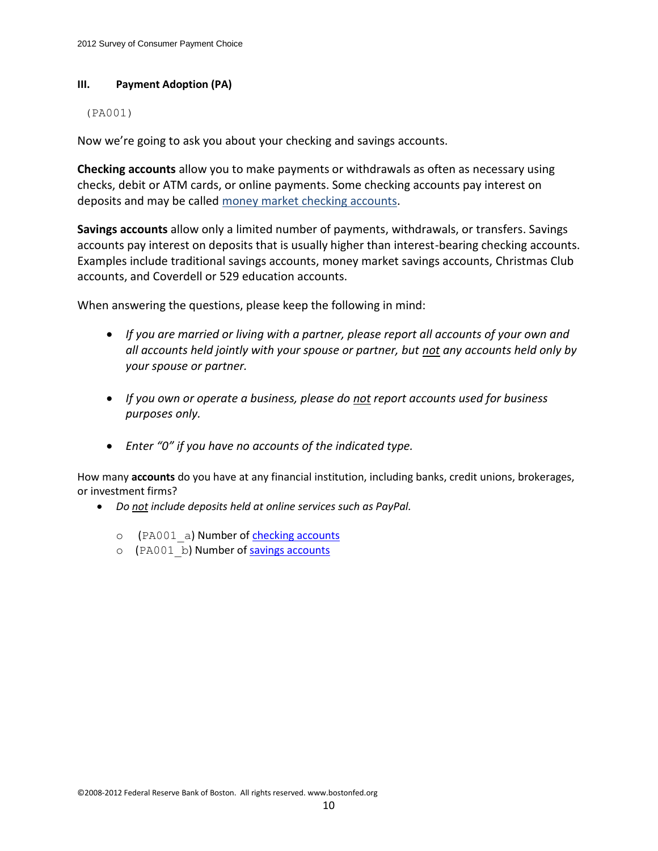## **III. Payment Adoption (PA)**

### (PA001)

Now we're going to ask you about your checking and savings accounts.

**Checking accounts** allow you to make payments or withdrawals as often as necessary using checks, debit or ATM cards, or online payments. Some checking accounts pay interest on deposits and may be called money market checking accounts.

**Savings accounts** allow only a limited number of payments, withdrawals, or transfers. Savings accounts pay interest on deposits that is usually higher than interest-bearing checking accounts. Examples include traditional savings accounts, money market savings accounts, Christmas Club accounts, and Coverdell or 529 education accounts.

When answering the questions, please keep the following in mind:

- *If you are married or living with a partner, please report all accounts of your own and all accounts held jointly with your spouse or partner, but not any accounts held only by your spouse or partner.*
- *If you own or operate a business, please do not report accounts used for business purposes only.*
- *Enter "0" if you have no accounts of the indicated type.*

How many **accounts** do you have at any financial institution, including banks, credit unions, brokerages, or investment firms?

- *Do not include deposits held at online services such as PayPal.*
	- o (PA001 a) Number of checking accounts
	- o (PA001 b) Number of savings accounts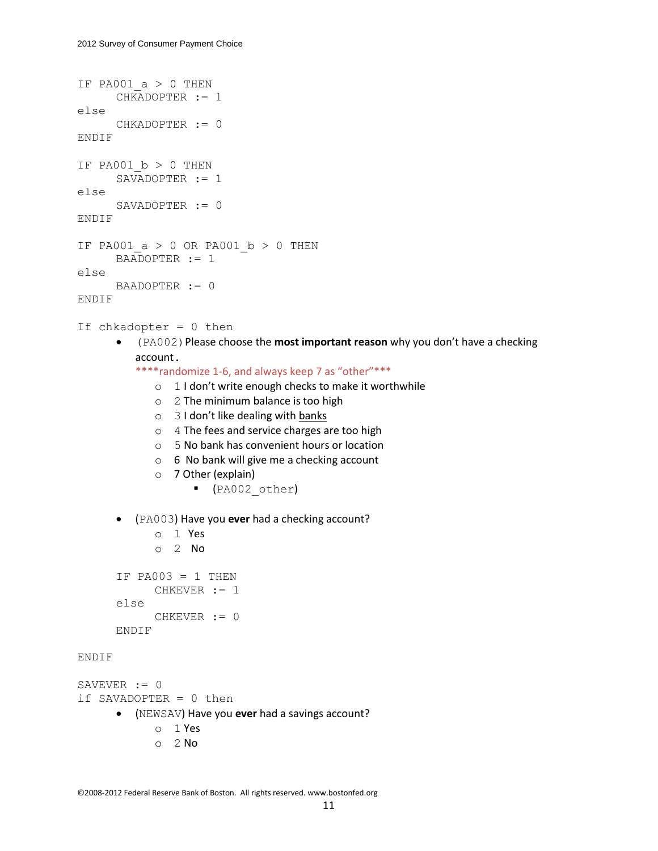```
IF PA001 a > 0 THEN
      CHKADOPTER := 1
else
      CHKADOPTER := 0
ENDIF
IF PA001 b > 0 THEN
      SAVADOPTER := 1
else
      SAVADOPTER := 0
ENDIF
IF PA001 a > 0 OR PA001 b > 0 THEN
      BAADOPTER := 1
else
      BAADOPTER := 0
ENDIF
If chkadopter = 0 then
       (PA002)Please choose the most important reason why you don't have a checking 
         account. 
         ****randomize 1-6, and always keep 7 as "other"***
             o 1 I don't write enough checks to make it worthwhile 
             o 2 The minimum balance is too high
             o 3 I don't like dealing with banks
             o 4 The fees and service charges are too high
             o 5 No bank has convenient hours or location
             o 6 No bank will give me a checking account
             o 7 Other (explain)
                    (PA002_other)
       (PA003) Have you ever had a checking account?
             o 1 Yes
             o 2 No
      IF PA003 = 1 THEN
             CHKEVER := 1
      else
             CHKEVER := 0
      ENDIF
ENDIF
SAVEVER := 0if SAVADOPTER = 0 then
       (NEWSAV) Have you ever had a savings account?
             o 1 Yes
```
o 2 No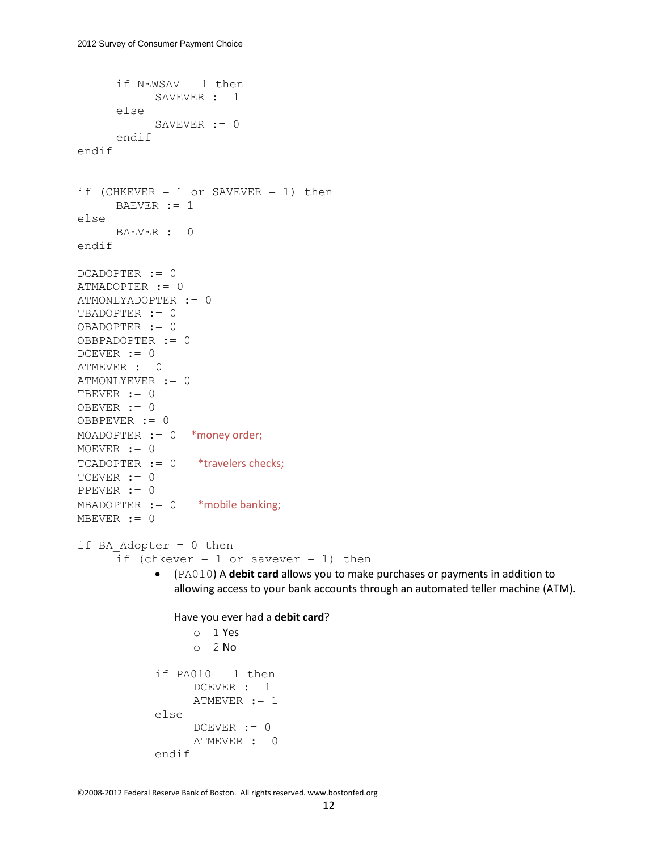```
if NEWSAV = 1 then
            SAVEVER := 1
      else
            SAVEVER := 0
      endif
endif
if (CHKEVER = 1 or SAVEVER = 1) then
      BAEVER := 1else
      BAEVER := 0
endif
DCADOPTER := 0
ATMADOPTER := 0
ATMONLYADOPTER := 0
TBADOPTER := 0
OBADOPTER := 0
OBBPADOPTER := 0
DCEVER := 0
ATMEVER := 0
ATMONLYEVER := 0
TBEVER := 0
OBEVER := 0
OBBPEVER := 0
MOADOPTER := 0 *money order;
MOEVER := 0
TCADOPTER := 0 *travelers checks;
TCEVER := 0PPEVER := 0
MBADOPTER := 0 *mobile banking;
MBEVER := 0
if BA Adopter = 0 then
      if (chkever = 1 or savever = 1) then
             (PA010) A debit card allows you to make purchases or payments in addition to 
               allowing access to your bank accounts through an automated teller machine (ATM). 
               Have you ever had a debit card? 
                  o 1 Yes
                  O<sub>2</sub> No
            if PA010 = 1 then
                  DCEVER := 1ATMEVER := 1
            else
                  DCEVER := 0ATMEVER := 0
            endif
```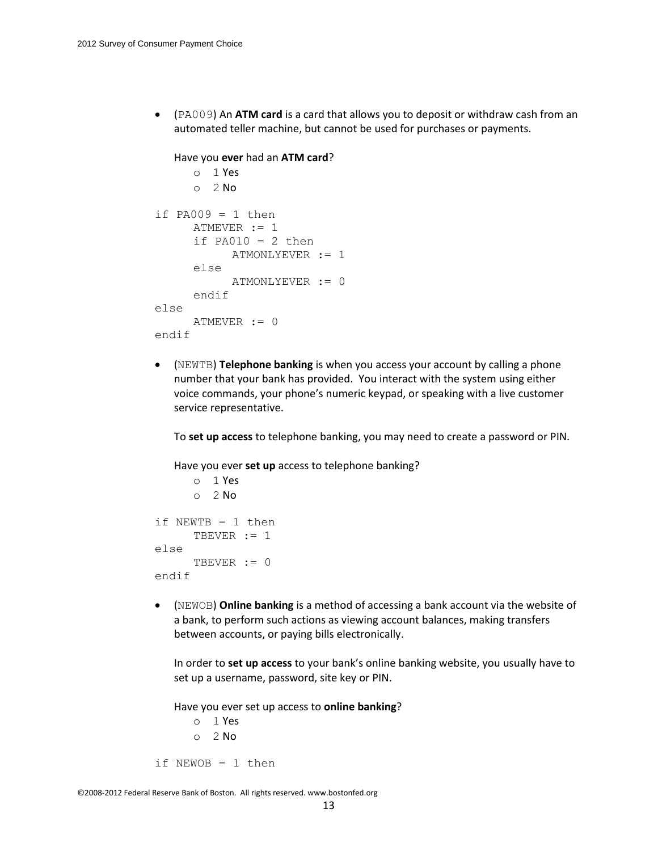(PA009) An **ATM card** is a card that allows you to deposit or withdraw cash from an automated teller machine, but cannot be used for purchases or payments.

```
Have you ever had an ATM card? 
      o 1 Yes
      O<sub>2</sub> No
if PA009 = 1 then
      ATMEVER := 1
      if PA010 = 2 then
            ATMONLYEVER := 1
      else
            ATMONLYEVER := 0
      endif
else
      ATMEVER := 0
endif
```
 (NEWTB) **Telephone banking** is when you access your account by calling a phone number that your bank has provided. You interact with the system using either voice commands, your phone's numeric keypad, or speaking with a live customer service representative.

To **set up access** to telephone banking, you may need to create a password or PIN.

Have you ever **set up** access to telephone banking?

```
o 1 Yes
     o 2 No
if NEWTB = 1 then
     TBEVER := 1
else
     TBEVER := 0endif
```
 (NEWOB) **Online banking** is a method of accessing a bank account via the website of a bank, to perform such actions as viewing account balances, making transfers between accounts, or paying bills electronically.

In order to **set up access** to your bank's online banking website, you usually have to set up a username, password, site key or PIN.

Have you ever set up access to **online banking**?

o 1 Yes  $O<sub>2</sub>$  No if NEWOB = 1 then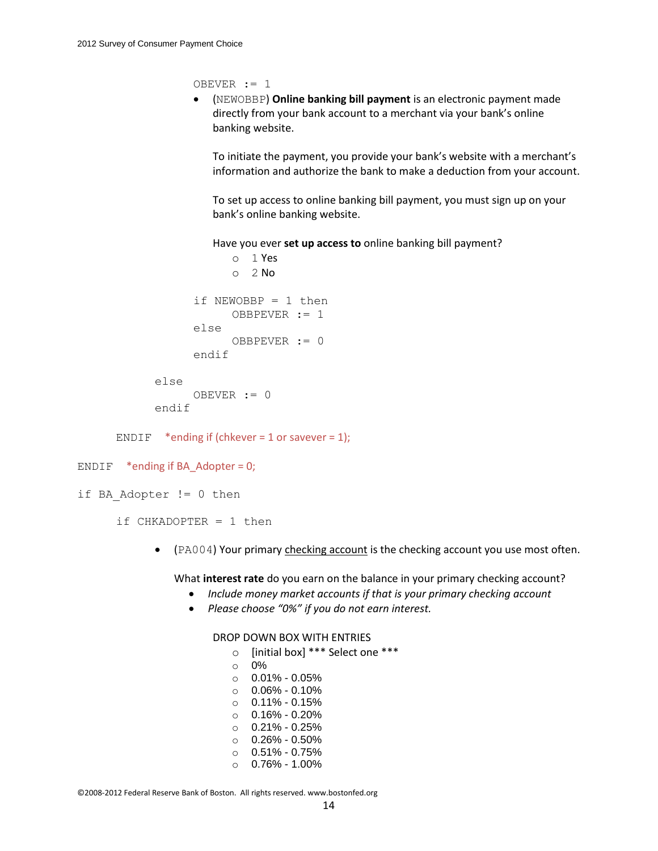OBEVER := 1

 (NEWOBBP) **Online banking bill payment** is an electronic payment made directly from your [bank](https://mmic.rand.org/research/rand/ms87/help.php#bank) account to a merchant via your bank's online banking website.

To initiate the payment, you provide your bank's website with a merchant's information and authorize the bank to make a deduction from your account.

To set up access to online banking bill payment, you must sign up on your bank's online banking website.

Have you ever **set up access to** online banking bill payment?

```
o 1 Yes
            O<sub>2</sub> No
      if NEWOBBP = 1 then
            OBBPEVER := 1
      else
            OBBPEVER := 0
      endif
else
      OBEVER := 0
```

```
endif
```
ENDIF \*ending if (chkever = 1 or savever = 1);

```
ENDIF *ending if BA Adopter = 0;
```

```
if BA Adopter != 0 then
```

```
if CHKADOPTER = 1 then
```
• (PA004) Your primary checking account is the checking account you use most often.

What **interest rate** do you earn on the balance in your primary checking account?

- *Include money market accounts if that is your primary checking account*
- *Please choose "0%" if you do not earn interest.*

#### DROP DOWN BOX WITH ENTRIES

o [initial box] \*\*\* Select one \*\*\* o 0%

- $\circ$  0.01% 0.05%  $0.06\% - 0.10\%$  $0.11\% - 0.15\%$ o 0.16% - 0.20%
- $O.21\% 0.25\%$
- $\circ$  0.26% 0.50%
- $\circ$  0.51% 0.75%
- $0.76\% 1.00\%$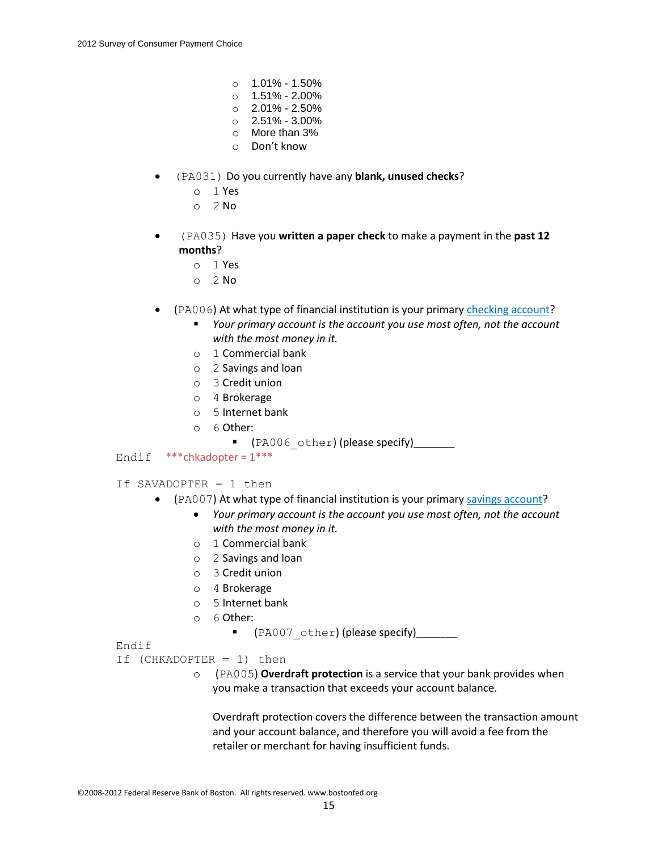- $\circ$  1.01% 1.50%
- o 1.51% 2.00%
- $\circ$  2.01% 2.50%  $\circ$  2.51% - 3.00%
- o More than 3%
- o Don't know
- (PA031) Do you currently have any **blank, unused checks**?
	- o 1 Yes
	- $O<sub>2</sub>$  No
- (PA035) Have you **written a paper check** to make a payment in the **past 12 months**?
	- o 1 Yes
	- $O<sub>2</sub>$  No
- (PA006) At what type of financial institution is your primary checking account?
	- *Your primary account is the account you use most often, not the account with the most money in it.*
	- o 1 Commercial bank
	- o 2 Savings and loan
	- o 3 Credit union
	- o 4 Brokerage
	- o 5 Internet bank
	- o 6 Other:
		- **T** (PA006 other) (please specify)\_\_\_\_\_\_
- Endif  $***$ chkadopter =  $1***$
- If SAVADOPTER = 1 then
	- (PA007) At what type of financial institution is your primary savings account?
		- *Your primary account is the account you use most often, not the account with the most money in it.*
		- o 1 Commercial bank
		- o 2 Savings and loan
		- o 3 Credit union
		- o 4 Brokerage
		- o 5 Internet bank
		- o 6 Other:
			- **T** (PA007 other) (please specify)\_\_\_\_\_\_\_

# Endif

- If (CHKADOPTER = 1) then
	- o (PA005) **Overdraft protection** is a service that your bank provides when you make a transaction that exceeds your account balance.

Overdraft protection covers the difference between the transaction amount and your account balance, and therefore you will avoid a fee from the retailer or merchant for having insufficient funds.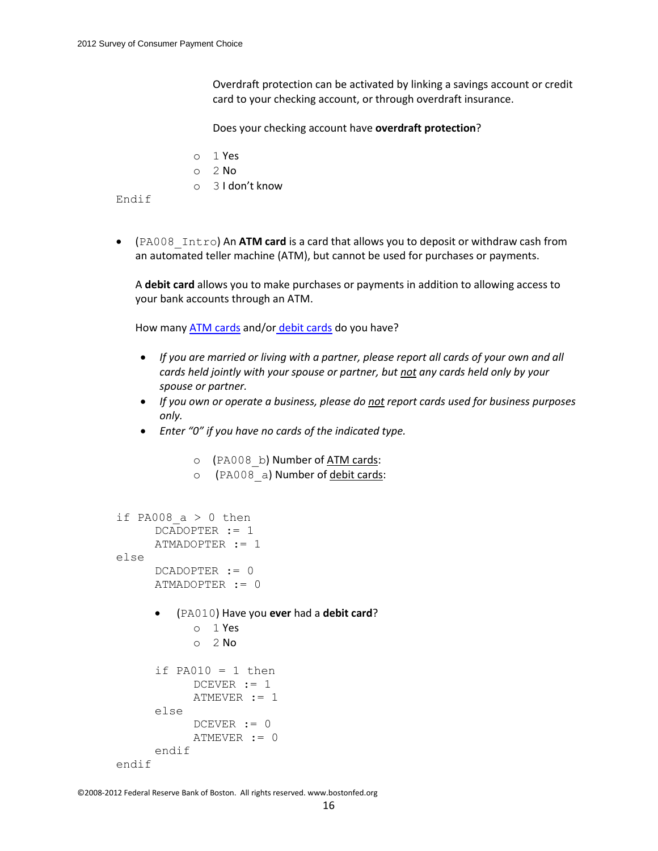Overdraft protection can be activated by linking a savings account or credit card to your checking account, or through overdraft insurance.

Does your checking account have **overdraft protection**?

- o 1 Yes
- o 2 No
- o 3 I don't know

Endif

 (PA008\_Intro) An **ATM card** is a card that allows you to deposit or withdraw cash from an automated teller machine (ATM), but cannot be used for purchases or payments.

A **debit card** allows you to make purchases or payments in addition to allowing access to your bank accounts through an ATM.

How many ATM cards and/or debit cards do you have?

- *If you are married or living with a partner, please report all cards of your own and all cards held jointly with your spouse or partner, but not any cards held only by your spouse or partner.*
- *If you own or operate a business, please do not report cards used for business purposes only.*
- *Enter "0" if you have no cards of the indicated type.*
	- o (PA008 b) Number of ATM cards:
	- o (PA008 a) Number of debit cards:

```
if PA008 a > 0 then
     DCADOPTER := 1
     ATMADOPTER := 1
else
     DCADOPTER := 0
     ATMADOPTER := 0
        (PA010) Have you ever had a debit card?
           o 1 Yes
           o 2 No
      if PA010 = 1 then
           DCEVER := 1ATMEVER := 1
      else
           DCEVER := 0
           ATMEVER := 0
      endif
endif
```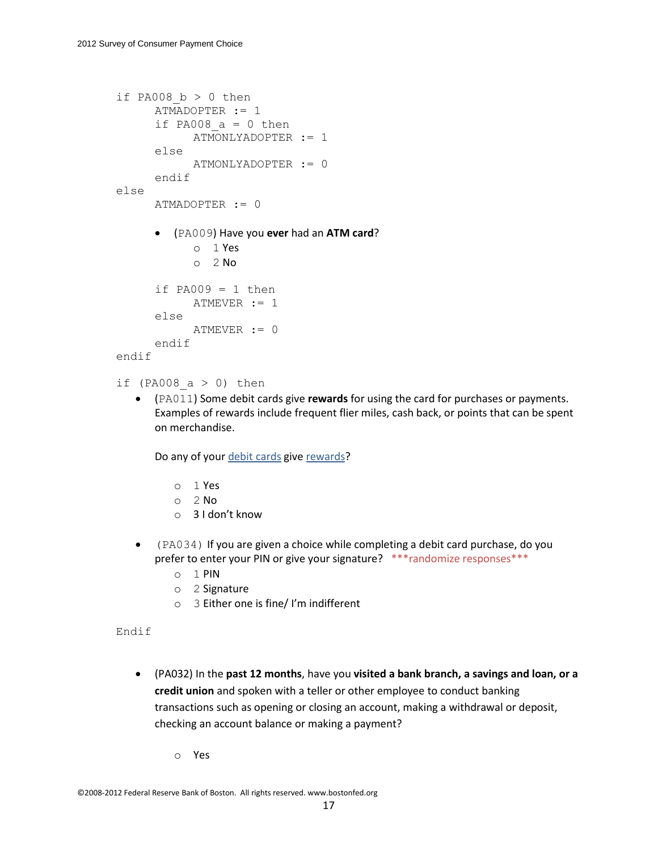```
if PA008 b > 0 then
     ATMADOPTER := 1
     if PA008 a = 0 then
           ATMONLYADOPTER := 1
     else
           ATMONLYADOPTER := 0
     endif
else
     ATMADOPTER := 0
      (PA009) Have you ever had an ATM card?
           o 1 Yes
           o 2 No
     if PA009 = 1 then
           ATMEVER := 1
     else
           ATMEVER := 0
     endif
endif
```

```
if (PA008 a > 0) then
```
 (PA011) Some debit cards give **rewards** for using the card for purchases or payments. Examples of rewards include frequent flier miles, cash back, or points that can be spent on merchandise.

Do any of your debit cards give rewards?

- o 1 Yes
- o 2 No
- o 3 I don't know
- (PA034) If you are given a choice while completing a debit card purchase, do you prefer to enter your PIN or give your signature? \*\*\* randomize responses\*\*\*
	- o 1 PIN
	- o 2 Signature
	- o 3 Either one is fine/ I'm indifferent

#### Endif

 (PA032) In the **past 12 months**, have you **visited a bank branch, a savings and loan, or a credit union** and spoken with a teller or other employee to conduct banking transactions such as opening or closing an account, making a withdrawal or deposit, checking an account balance or making a payment?

o Yes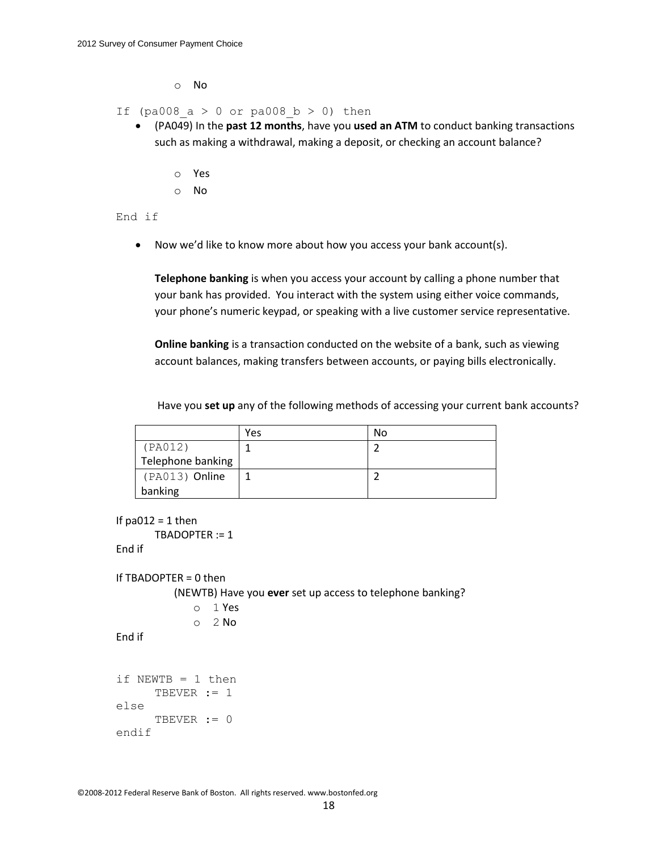o No

If (pa008  $a > 0$  or pa008  $b > 0$ ) then

- (PA049) In the **past 12 months**, have you **used an ATM** to conduct banking transactions such as making a withdrawal, making a deposit, or checking an account balance?
	- o Yes
	- o No

End if

Now we'd like to know more about how you access your bank account(s).

**Telephone banking** is when you access your account by calling a phone number that your bank has provided. You interact with the system using either voice commands, your phone's numeric keypad, or speaking with a live customer service representative.

**Online banking** is a transaction conducted on the website of a [bank,](https://mmic.rand.org/research/rand/ms87/help.php#bank) such as viewing account balances, making transfers between accounts, or paying bills electronically.

Have you **set up** any of the following methods of accessing your current bank accounts?

|                   | Yes | No |
|-------------------|-----|----|
| (PAO12)           |     |    |
| Telephone banking |     |    |
| (PA013) Online    |     |    |
| banking           |     |    |

```
If pa012 = 1 then
```

```
TBADOPTER := 1
End if
```

```
If TBADOPTER = 0 then
```
(NEWTB) Have you **ever** set up access to telephone banking?

```
o 1 Yes
O<sub>2</sub> No
```

```
End if
```

```
if NEWTB = 1 then
     TBEVER := 1
else
     TBEVER := 0
endif
```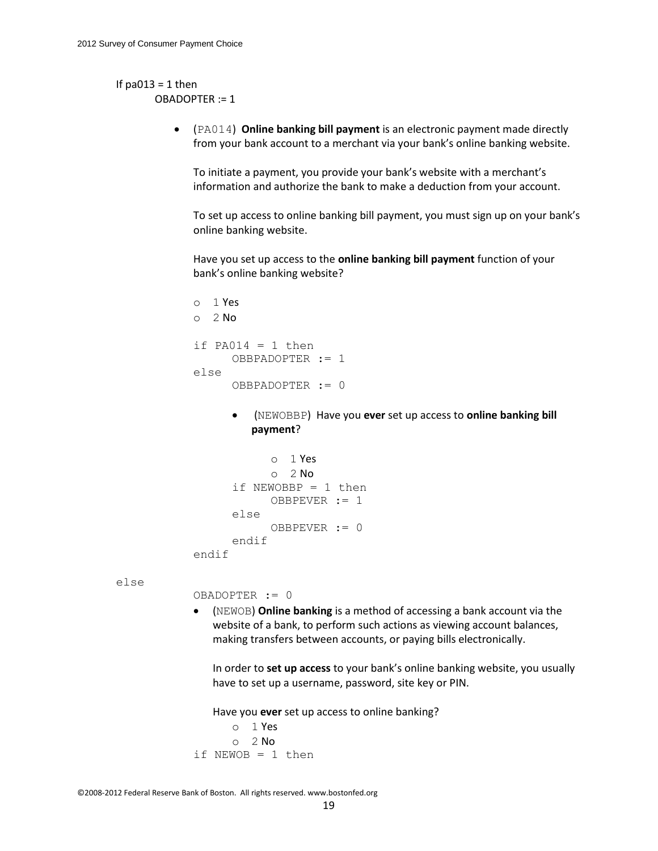### If  $pa013 = 1$  then OBADOPTER := 1

 (PA014) **Online banking bill payment** is an electronic payment made directly from your [bank](https://mmic.rand.org/research/rand/ms87/help.php#bank) account to a merchant via your bank's online banking website.

To initiate a payment, you provide your bank's website with a merchant's information and authorize the bank to make a deduction from your account.

To set up access to online banking bill payment, you must sign up on your bank's online banking website.

Have you set up access to the **online banking bill payment** function of your bank's online banking website?

```
o 1 Yes
O<sub>2</sub> No
if PA014 = 1 then
      OBBPADOPTER := 1
else
      OBBPADOPTER := 0
```
 (NEWOBBP) Have you **ever** set up access to **online banking bill payment**?

```
o 1 Yes
            O<sub>2</sub> No
      if NEWOBBP = 1 then
            OBBPEVER := 1
      else
            OBBPEVER := 0
      endif
endif
```
else

OBADOPTER := 0

 (NEWOB) **Online banking** is a method of accessing a bank account via the website of a bank, to perform such actions as viewing account balances, making transfers between accounts, or paying bills electronically.

In order to **set up access** to your bank's online banking website, you usually have to set up a username, password, site key or PIN.

Have you **ever** set up access to online banking?

```
o 1 Yes
     o 2 No
if NEWOB = 1 then
```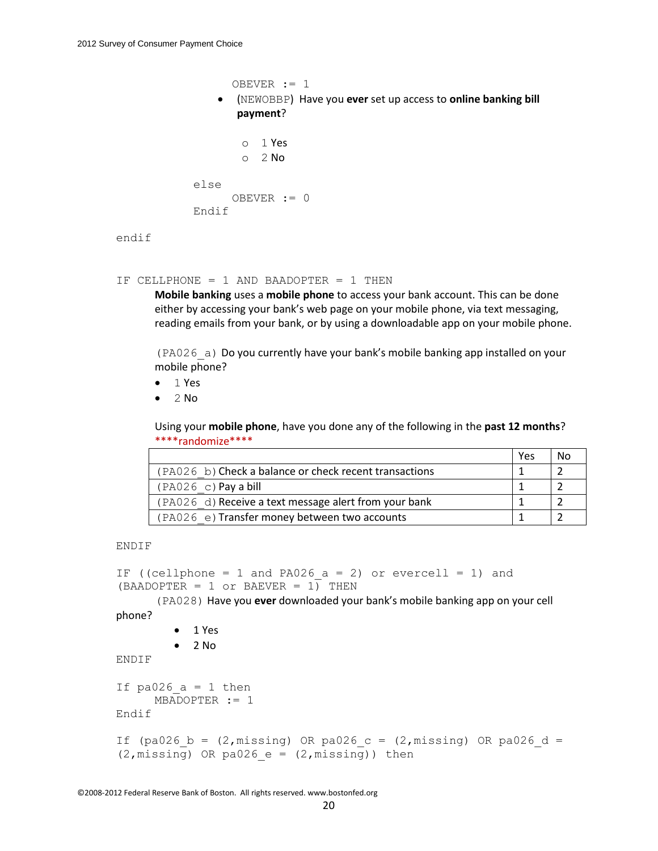```
OBEVER := 1
     (NEWOBBP) Have you ever set up access to online banking bill
       payment? 
        o 1 Yes
        o 2 No
else
      OBEVER := 0
Endif
```
endif

```
IF CELLPHONE = 1 AND BAADOPTER = 1 THEN
```
**Mobile banking** uses a **mobile phone** to access your bank account. This can be done either by accessing your bank's web page on your mobile phone, via text messaging, reading emails from your bank, or by using a downloadable app on your mobile phone.

(PA026\_a) Do you currently have your bank's mobile banking app installed on your mobile phone?

- $-1$  Yes
- 2 No

Using your **mobile phone**, have you done any of the following in the **past 12 months**? \*\*\*\*randomize\*\*\*\*

|                                                        | Yes | No. |
|--------------------------------------------------------|-----|-----|
| (PA026 b) Check a balance or check recent transactions |     |     |
| $(PAO26 c)$ Pay a bill                                 |     |     |
| (PA026 d) Receive a text message alert from your bank  |     |     |
| (PA026 e) Transfer money between two accounts          |     |     |

ENDIF

```
IF ((cellphone = 1 and PA026 a = 2) or evercell = 1) and
(BAADOPTER = 1 or BAEVER = 1) THEN
```
(PA028) Have you **ever** downloaded your bank's mobile banking app on your cell

phone?

- 1 Yes
- $\bullet$  2 No

ENDIF

```
If pa026 a = 1 then
     MBADOPTER := 1
Endif
```

```
If (pa026 b = (2,missing) OR pa026 c = (2,missing) OR pa026 d =
(2, \text{missing}) OR pa026 e = (2, \text{missing})) then
```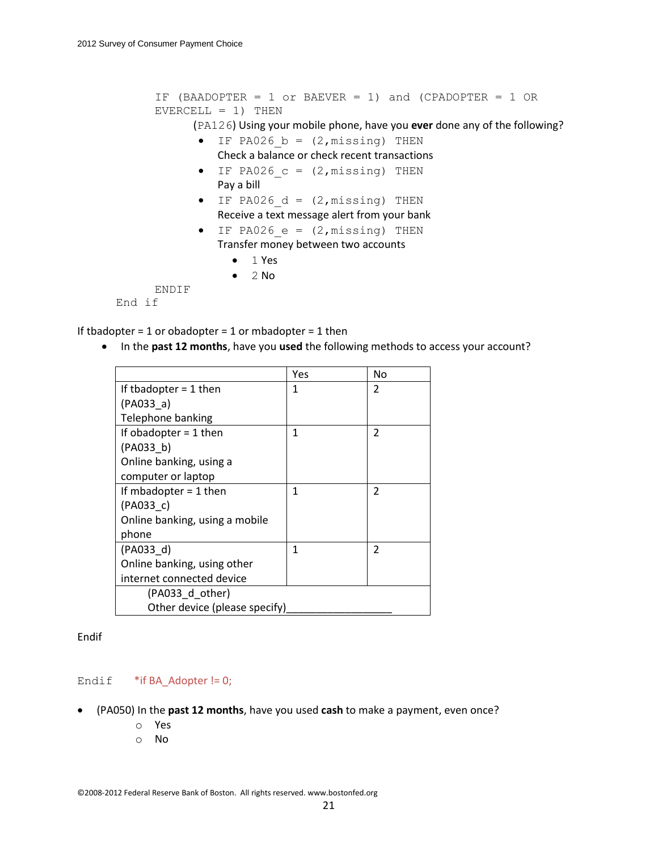```
IF (BAADOPTER = 1 or BAEVER = 1) and (CPADOPTER = 1 OR 
      EVERCELL = 1) THEN
             (PA126) Using your mobile phone, have you ever done any of the following?
              \bullet IF PA026 b = (2, missing) THEN
                  Check a balance or check recent transactions
              \bullet IF PA026 c = (2, missing) THEN
                  Pay a bill
              \bullet IF PA026 d = (2, missing) THEN
                  Receive a text message alert from your bank
              \bullet IF PA026 e = (2, \text{missing}) THEN
                  Transfer money between two accounts
                    -1 Yes
                    \bullet 2 No
      ENDIF
End if
```
If tbadopter = 1 or obadopter = 1 or mbadopter = 1 then

In the **past 12 months**, have you **used** the following methods to access your account?

|                                | Yes | No             |
|--------------------------------|-----|----------------|
| If thadopter $=$ 1 then        | 1   | $\mathcal{P}$  |
| (PAO33 a)                      |     |                |
| Telephone banking              |     |                |
| If obadopter $= 1$ then        | 1   | $\overline{2}$ |
| (PAO33 b)                      |     |                |
| Online banking, using a        |     |                |
| computer or laptop             |     |                |
| If mbadopter $= 1$ then        | 1   | $\overline{2}$ |
| (PAO33 c)                      |     |                |
| Online banking, using a mobile |     |                |
| phone                          |     |                |
| (PA033 d)                      | 1   | $\mathfrak{p}$ |
| Online banking, using other    |     |                |
| internet connected device      |     |                |
| (PA033 d other)                |     |                |
| Other device (please specify)  |     |                |

Endif

Endif  $*$ if BA Adopter != 0;

- (PA050) In the **past 12 months**, have you used **cash** to make a payment, even once?
	- o Yes
	- o No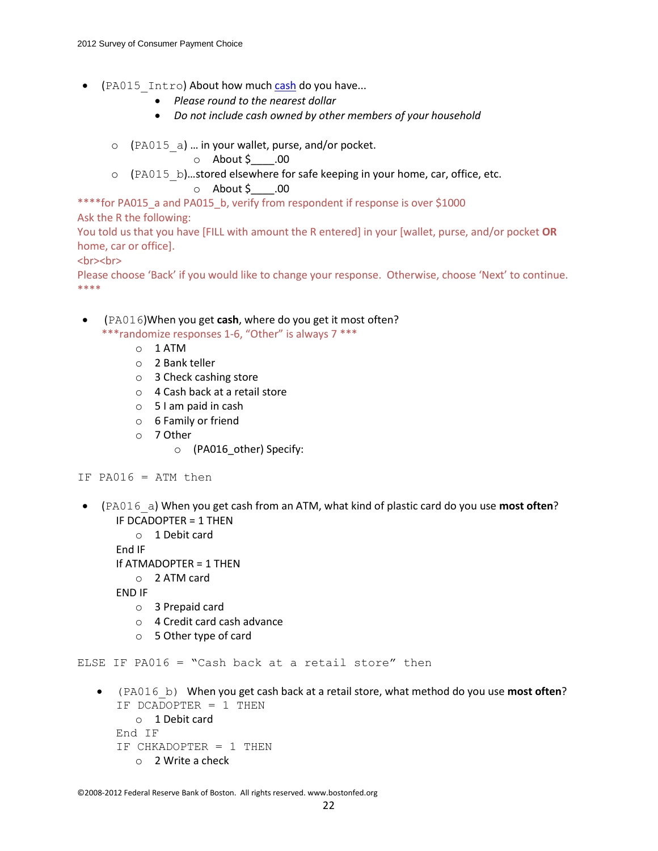- (PA015 Intro) About how much cash do you have...
	- *Please round to the nearest dollar*
	- *Do not include cash owned by other members of your household*
	- o (PA015\_a) … in your wallet, purse, and/or pocket.

 $\circ$  About \$\_\_\_\_.00

o (PA015\_b)…stored elsewhere for safe keeping in your home, car, office, etc.

```
o About $ .00
```
\*\*\*\*for PA015\_a and PA015\_b, verify from respondent if response is over \$1000

Ask the R the following:

You told us that you have [FILL with amount the R entered] in your [wallet, purse, and/or pocket **OR** home, car or office].

<br><br>

Please choose 'Back' if you would like to change your response. Otherwise, choose 'Next' to continue. \*\*\*\*

 (PA016)When you get **cash**, where do you get it most often? \*\*\*randomize responses 1-6, "Other" is always 7 \*\*\*

- o 1 ATM
- o 2 Bank teller
- o 3 Check cashing store
- o 4 Cash back at a retail store
- o 5 I am paid in cash
- o 6 Family or friend
- o 7 Other
	- o (PA016\_other) Specify:

IF PA016 = ATM then

- (PA016\_a) When you get cash from an ATM, what kind of plastic card do you use **most often**? IF DCADOPTER = 1 THEN
	- o 1 Debit card

End IF

- If ATMADOPTER = 1 THEN
	- o 2 ATM card

END IF

- o 3 Prepaid card
- o 4 Credit card cash advance
- o 5 Other type of card

ELSE IF PA016 = "Cash back at a retail store" then

 (PA016\_b) When you get cash back at a retail store, what method do you use **most often**?  $TF DCADOPTER = 1 THEN$ 

```
o 1 Debit card
End IF
IF CHKADOPTER = 1 THEN 
   o 2 Write a check
```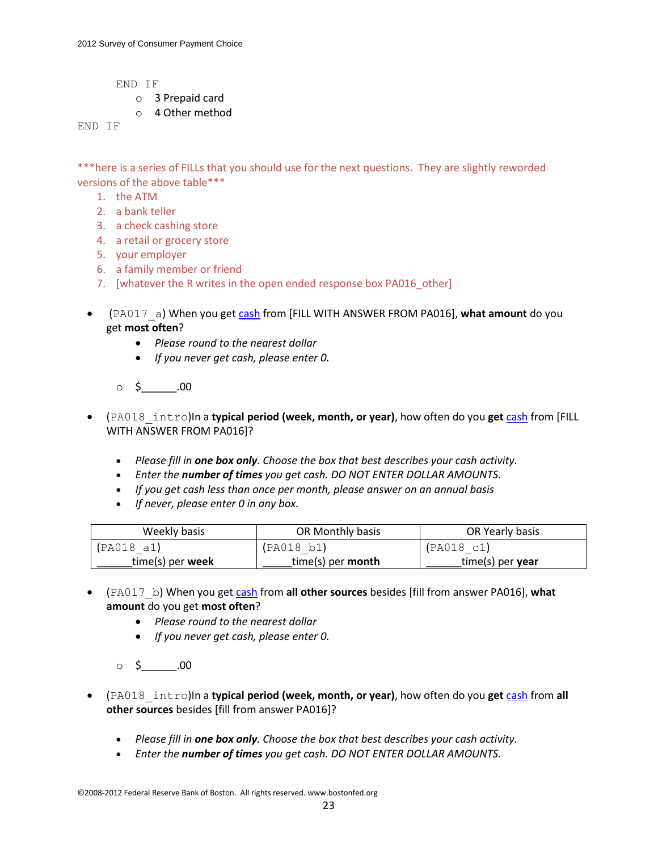END IF

- o 3 Prepaid card
- o 4 Other method

END IF

\*\*\*here is a series of FILLs that you should use for the next questions. They are slightly reworded versions of the above table\*\*\*

- 1. the ATM
- 2. a bank teller
- 3. a check cashing store
- 4. a retail or grocery store
- 5. your employer
- 6. a family member or friend
- 7. [whatever the R writes in the open ended response box PA016\_other]
- (PA017\_a) When you get cash from [FILL WITH ANSWER FROM PA016], **what amount** do you get **most often**?
	- *Please round to the nearest dollar*
	- *If you never get cash, please enter 0.*
	- $\circ$  \$ \_\_\_\_\_\_\_.00
- (PA018\_intro)In a **typical period (week, month, or year)**, how often do you **get** cash from [FILL WITH ANSWER FROM PA016]?
	- *Please fill in one box only. Choose the box that best describes your cash activity.*
	- *Enter the number of times you get cash. DO NOT ENTER DOLLAR AMOUNTS.*
	- *If you get cash less than once per month, please answer on an annual basis*
	- *If never, please enter 0 in any box.*

| Weekly basis       | OR Monthly basis         | OR Yearly basis  |
|--------------------|--------------------------|------------------|
| (PAO18 a1)         | (PAO18 b1)               | (PAO18 c1)       |
| $time(s)$ per week | time(s) per <b>month</b> | time(s) per year |

- (PA017\_b) When you get cash from **all other sources** besides [fill from answer PA016], **what amount** do you get **most often**?
	- *Please round to the nearest dollar*
	- *If you never get cash, please enter 0.*
	- $\circ$  \$ .00
- (PA018\_intro)In a **typical period (week, month, or year)**, how often do you **get** cash from **all other sources** besides [fill from answer PA016]?
	- *Please fill in one box only. Choose the box that best describes your cash activity.*
	- *Enter the number of times you get cash. DO NOT ENTER DOLLAR AMOUNTS.*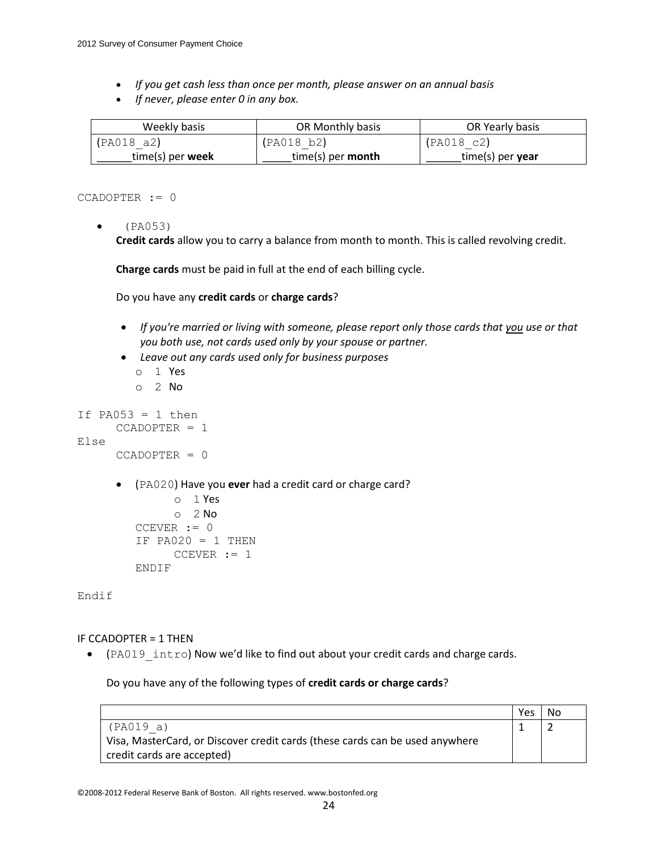- *If you get cash less than once per month, please answer on an annual basis*
- *If never, please enter 0 in any box.*

| Weekly basis       | OR Monthly basis         | OR Yearly basis  |
|--------------------|--------------------------|------------------|
| (PAO18 a2)         | (PAO18 b2)               | (PAO18 c2)       |
| $time(s)$ per week | time(s) per <b>month</b> | time(s) per year |

CCADOPTER := 0

 $(PA053)$ 

**Credit cards** allow you to carry a balance from month to month. This is called revolving credit.

**Charge cards** must be paid in full at the end of each billing cycle.

Do you have any **credit cards** or **charge cards**?

- *If you're married or living with someone, please report only those cards that you use or that you both use, not cards used only by your spouse or partner.*
- *Leave out any cards used only for business purposes*
	- o 1 Yes
	- $O<sub>2</sub>$  No

```
If PA053 = 1 then
```

```
CCADOPTER = 1
```

```
Else
```

```
CCADOPTER = 0
```
(PA020) Have you **ever** had a credit card or charge card?

```
o 1 Yes
     o 2 No
CCEVER := 0IF PA020 = 1 THEN
     CCEVER := 1
ENDIF
```
Endif

#### IF CCADOPTER = 1 THEN

• (PA019 intro) Now we'd like to find out about your credit cards and charge cards.

Do you have any of the following types of **credit cards or charge cards**?

|                                                                              | Yes | No |
|------------------------------------------------------------------------------|-----|----|
| (PA019 a)                                                                    |     |    |
| Visa, MasterCard, or Discover credit cards (these cards can be used anywhere |     |    |
| credit cards are accepted)                                                   |     |    |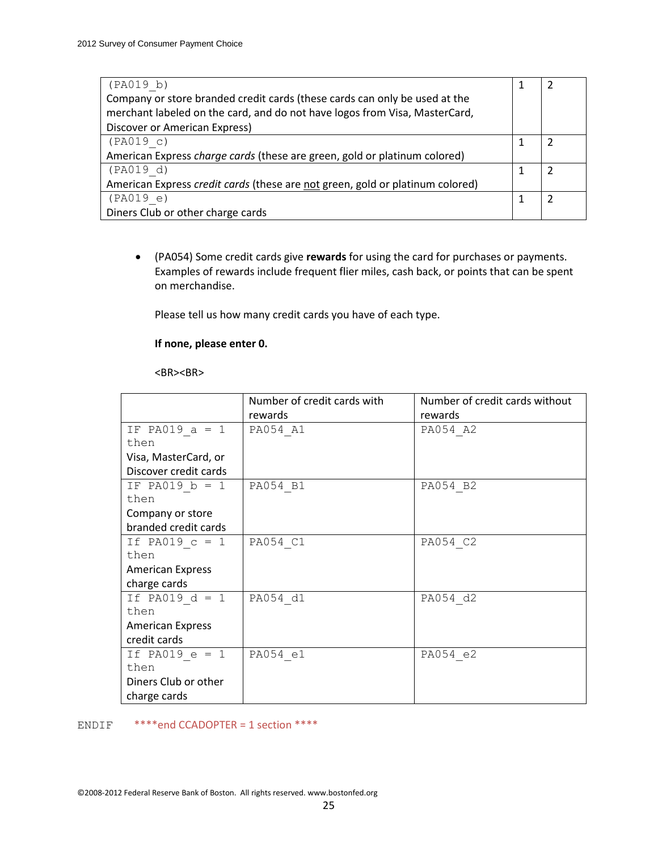| (PA019 b)                                                                     |  |
|-------------------------------------------------------------------------------|--|
| Company or store branded credit cards (these cards can only be used at the    |  |
| merchant labeled on the card, and do not have logos from Visa, MasterCard,    |  |
| Discover or American Express)                                                 |  |
| (PAO19 c)                                                                     |  |
| American Express charge cards (these are green, gold or platinum colored)     |  |
| (PAO19 d)                                                                     |  |
| American Express credit cards (these are not green, gold or platinum colored) |  |
| (PAO19 e)                                                                     |  |
| Diners Club or other charge cards                                             |  |

 (PA054) Some credit cards give **rewards** for using the card for purchases or payments. Examples of rewards include frequent flier miles, cash back, or points that can be spent on merchandise.

Please tell us how many credit cards you have of each type.

### **If none, please enter 0.**

<BR><BR>

|                         | Number of credit cards with | Number of credit cards without |
|-------------------------|-----------------------------|--------------------------------|
|                         | rewards                     | rewards                        |
| IF PA019 $a = 1$        | PA054 A1                    | PA054 A2                       |
| then                    |                             |                                |
| Visa, MasterCard, or    |                             |                                |
| Discover credit cards   |                             |                                |
| IF PA019 $b = 1$        | PA054 B1                    | PA054 B2                       |
| then                    |                             |                                |
| Company or store        |                             |                                |
| branded credit cards    |                             |                                |
| If PA019 $c = 1$        | PA054 C1                    | PA054 C2                       |
| then                    |                             |                                |
| <b>American Express</b> |                             |                                |
| charge cards            |                             |                                |
| If PA019 $d = 1$        | PA054 d1                    | PA054 d2                       |
| then                    |                             |                                |
| <b>American Express</b> |                             |                                |
| credit cards            |                             |                                |
| If PA019 $e = 1$        | PA054 e1                    | PA054 e2                       |
| then                    |                             |                                |
| Diners Club or other    |                             |                                |
| charge cards            |                             |                                |

ENDIF \*\*\*\*end CCADOPTER = 1 section \*\*\*\*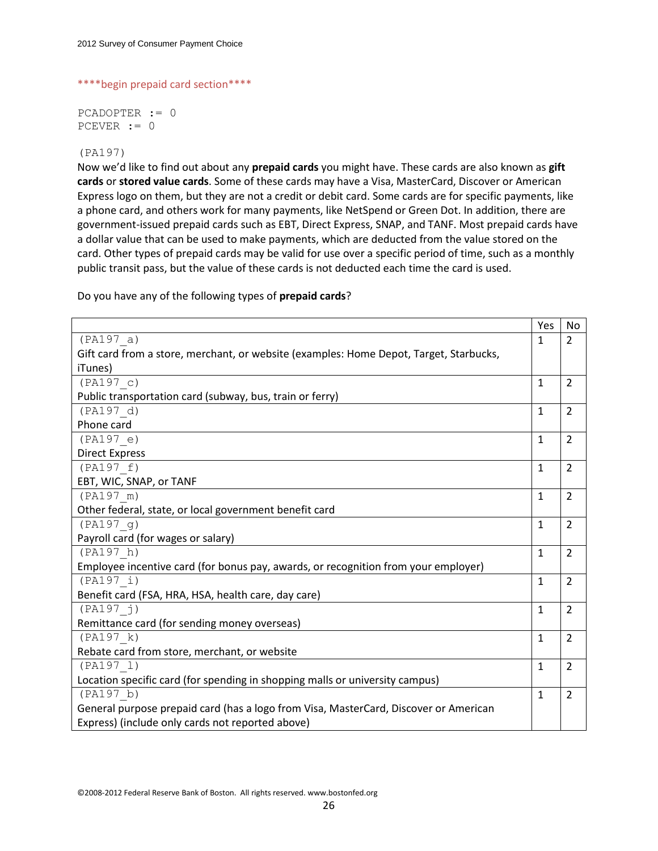```
****begin prepaid card section****
```
PCADOPTER := 0 PCEVER := 0

### (PA197)

Now we'd like to find out about any **prepaid cards** you might have. These cards are also known as **gift cards** or **stored value cards**. Some of these cards may have a Visa, MasterCard, Discover or American Express logo on them, but they are not a credit or debit card. Some cards are for specific payments, like a phone card, and others work for many payments, like NetSpend or Green Dot. In addition, there are government-issued prepaid cards such as EBT, Direct Express, SNAP, and TANF. Most prepaid cards have a dollar value that can be used to make payments, which are deducted from the value stored on the card. Other types of prepaid cards may be valid for use over a specific period of time, such as a monthly public transit pass, but the value of these cards is not deducted each time the card is used.

|                                                                                        | Yes          | No             |
|----------------------------------------------------------------------------------------|--------------|----------------|
| (PA197 a)                                                                              | 1            | $\overline{2}$ |
| Gift card from a store, merchant, or website (examples: Home Depot, Target, Starbucks, |              |                |
| iTunes)                                                                                |              |                |
| (PA197 c)                                                                              | $\mathbf{1}$ | $\overline{2}$ |
| Public transportation card (subway, bus, train or ferry)                               |              |                |
| (PA197 d)                                                                              | $\mathbf{1}$ | $\overline{2}$ |
| Phone card                                                                             |              |                |
| (PA197 e)                                                                              | $\mathbf{1}$ | $\overline{2}$ |
| <b>Direct Express</b>                                                                  |              |                |
| (PA197 f)                                                                              | $\mathbf{1}$ | $\overline{2}$ |
| EBT, WIC, SNAP, or TANF                                                                |              |                |
| (PA197 m)                                                                              | $\mathbf{1}$ | $\overline{2}$ |
| Other federal, state, or local government benefit card                                 |              |                |
| (PA197 q)                                                                              | $\mathbf{1}$ | $\overline{2}$ |
| Payroll card (for wages or salary)                                                     |              |                |
| (PA197 h)                                                                              | $\mathbf{1}$ | $\overline{2}$ |
| Employee incentive card (for bonus pay, awards, or recognition from your employer)     |              |                |
| (PA197 i)                                                                              | $\mathbf{1}$ | $\overline{2}$ |
| Benefit card (FSA, HRA, HSA, health care, day care)                                    |              |                |
| (PA197 j)                                                                              | $\mathbf{1}$ | $\overline{2}$ |
| Remittance card (for sending money overseas)                                           |              |                |
| (PA197 k)                                                                              | $\mathbf{1}$ | $\overline{2}$ |
| Rebate card from store, merchant, or website                                           |              |                |
| (PA197 1)                                                                              | $\mathbf{1}$ | $\overline{2}$ |
| Location specific card (for spending in shopping malls or university campus)           |              |                |
| (PA197 b)                                                                              | $\mathbf{1}$ | $\overline{2}$ |
| General purpose prepaid card (has a logo from Visa, MasterCard, Discover or American   |              |                |
| Express) (include only cards not reported above)                                       |              |                |

Do you have any of the following types of **prepaid cards**?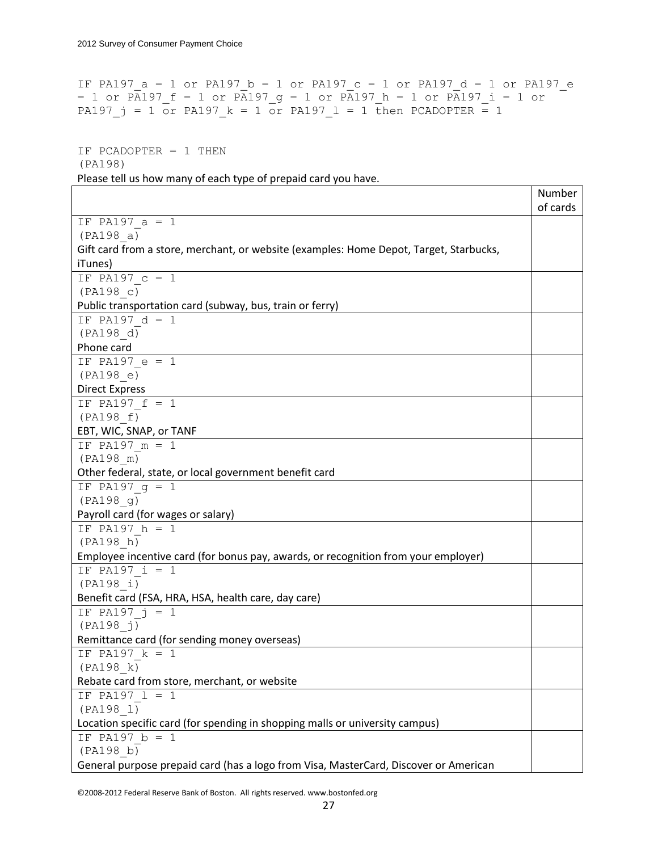```
IF PA197 a = 1 or PA197 b = 1 or PA197 c = 1 or PA197 d = 1 or PA197 e= 1 or PA197 f = 1 or PA197 g = 1 or PA197 h = 1 or PA197 i = 1 or
PA197 j = 1 or PA197 k = 1 or PA197 l = 1 then PCADOPTER = 1
```

```
IF PCADOPTER = 1 THEN 
(PA198)
Please tell us how many of each type of prepaid card you have.
```
Number of cards IF PA197\_a = 1 (PA198\_a) Gift card from a store, merchant, or website (examples: Home Depot, Target, Starbucks, iTunes) IF PA197\_c = 1 (PA198\_c) Public transportation card (subway, bus, train or ferry) IF PA197\_d = 1 (PA198\_d) Phone card IF PA197  $e = 1$ (PA198\_e) Direct Express IF PA197  $f = 1$ (PA198\_f) EBT, WIC, SNAP, or TANF IF PA197  $m = 1$ (PA198\_m) Other federal, state, or local government benefit card IF PA197  $q = 1$ (PA198\_g) Payroll card (for wages or salary) IF PA197  $h = 1$ (PA198\_h) Employee incentive card (for bonus pay, awards, or recognition from your employer) IF PA197  $i = 1$ (PA198\_i) Benefit card (FSA, HRA, HSA, health care, day care) IF  $PA197_j = 1$ (PA198\_j) Remittance card (for sending money overseas) IF PA197  $k = 1$ (PA198\_k) Rebate card from store, merchant, or website IF PA197  $l = 1$ (PA198\_l) Location specific card (for spending in shopping malls or university campus) IF PA197  $b = 1$ (PA198\_b) General purpose prepaid card (has a logo from Visa, MasterCard, Discover or American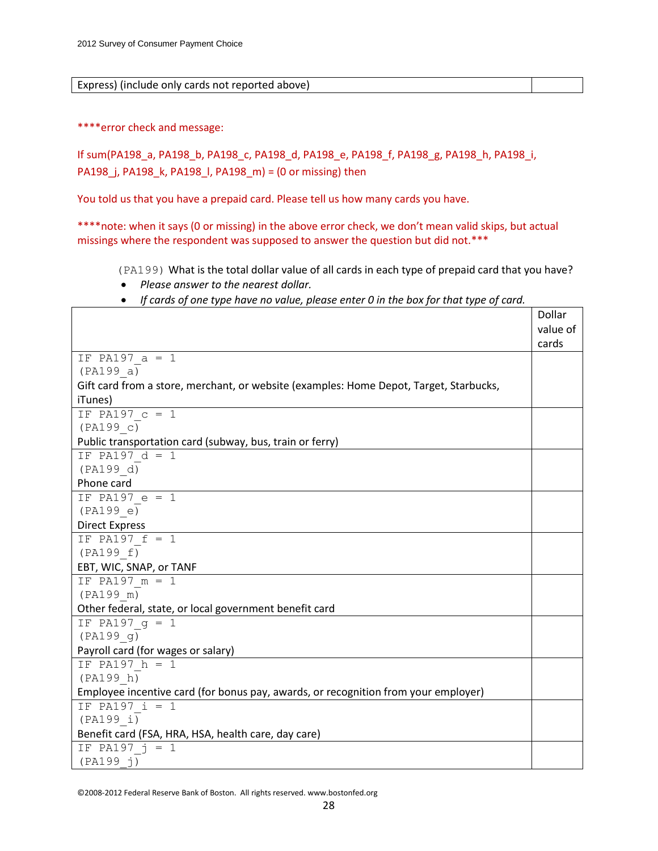Express) (include only cards not reported above)

\*\*\*\*error check and message:

If sum(PA198\_a, PA198\_b, PA198\_c, PA198\_d, PA198\_e, PA198\_f, PA198\_g, PA198\_h, PA198\_i, PA198\_j, PA198\_k, PA198\_l, PA198\_m) = (0 or missing) then

You told us that you have a prepaid card. Please tell us how many cards you have.

\*\*\*\*note: when it says (0 or missing) in the above error check, we don't mean valid skips, but actual missings where the respondent was supposed to answer the question but did not.\*\*\*

(PA199) What is the total dollar value of all cards in each type of prepaid card that you have?

- *Please answer to the nearest dollar.*
- *If cards of one type have no value, please enter 0 in the box for that type of card.*

|                                                                                        | Dollar   |
|----------------------------------------------------------------------------------------|----------|
|                                                                                        | value of |
|                                                                                        | cards    |
| IF PA197 $a = 1$                                                                       |          |
| (PA199 a)                                                                              |          |
| Gift card from a store, merchant, or website (examples: Home Depot, Target, Starbucks, |          |
| iTunes)                                                                                |          |
| IF PA197 $c = 1$                                                                       |          |
| (PA199 c)                                                                              |          |
| Public transportation card (subway, bus, train or ferry)                               |          |
| IF PA197 $d = 1$                                                                       |          |
| (PA199 d)                                                                              |          |
| Phone card                                                                             |          |
| IF PA197 $e = 1$                                                                       |          |
| (PA199 e)                                                                              |          |
| <b>Direct Express</b>                                                                  |          |
| IF PA197 $f = 1$                                                                       |          |
| (PA199 f)                                                                              |          |
| EBT, WIC, SNAP, or TANF                                                                |          |
| IF PA197 $m = 1$                                                                       |          |
| (PA199 m)                                                                              |          |
| Other federal, state, or local government benefit card                                 |          |
| IF PA197 $q = 1$                                                                       |          |
| (PA199 g)                                                                              |          |
| Payroll card (for wages or salary)                                                     |          |
| IF PA197 $h = 1$                                                                       |          |
| (PA199 h)                                                                              |          |
| Employee incentive card (for bonus pay, awards, or recognition from your employer)     |          |
| IF PA197 $i = 1$                                                                       |          |
| (PA199 i)                                                                              |          |
| Benefit card (FSA, HRA, HSA, health care, day care)                                    |          |
| IF PA197 $j = 1$                                                                       |          |
| (PA199 j)                                                                              |          |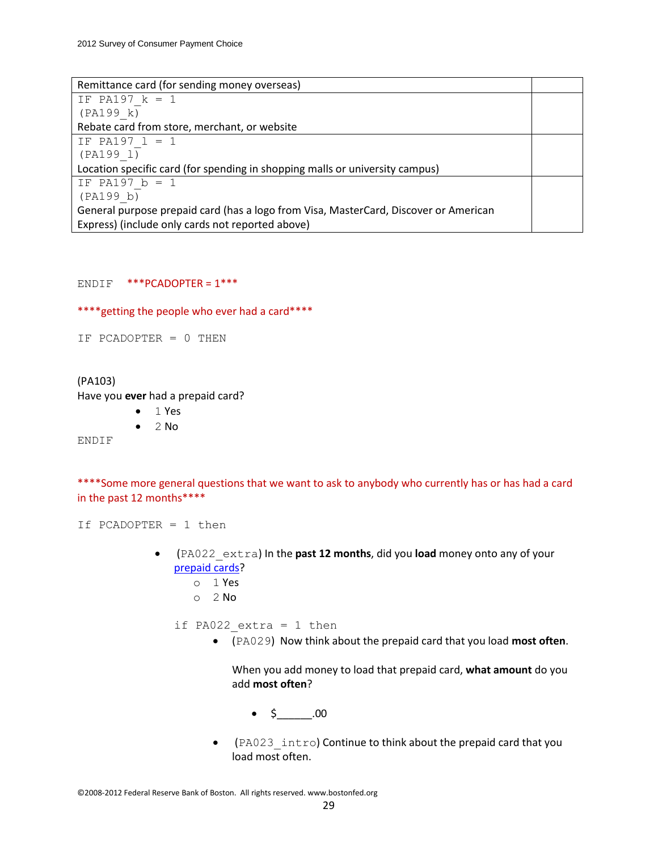| Remittance card (for sending money overseas)                                         |  |
|--------------------------------------------------------------------------------------|--|
| IF PA197 $k = 1$                                                                     |  |
| (PA199 k)                                                                            |  |
| Rebate card from store, merchant, or website                                         |  |
| IF PA197 $1 = 1$                                                                     |  |
| (PA199 1)                                                                            |  |
| Location specific card (for spending in shopping malls or university campus)         |  |
| IF PA197 $b = 1$                                                                     |  |
| (PA199 b)                                                                            |  |
| General purpose prepaid card (has a logo from Visa, MasterCard, Discover or American |  |
| Express) (include only cards not reported above)                                     |  |

ENDIF \*\*\*PCADOPTER = 1\*\*\*

\*\*\*\*getting the people who ever had a card\*\*\*\*

IF PCADOPTER = 0 THEN

### (PA103)

Have you **ever** had a prepaid card?

- $\bullet$  1 Yes
- $\bullet$  2 No

ENDIF

\*\*\*\*Some more general questions that we want to ask to anybody who currently has or has had a card in the past 12 months\*\*\*\*

If PCADOPTER = 1 then

- (PA022\_extra) In the **past 12 months**, did you **load** money onto any of your prepaid cards?
	- o 1 Yes
	- o 2 No

if PA022 extra = 1 then

(PA029) Now think about the prepaid card that you load **most often**.

When you add money to load that prepaid card, **what amount** do you add **most often**?

- $\bullet$  \$ .00
- (PA023 intro) Continue to think about the prepaid card that you load most often.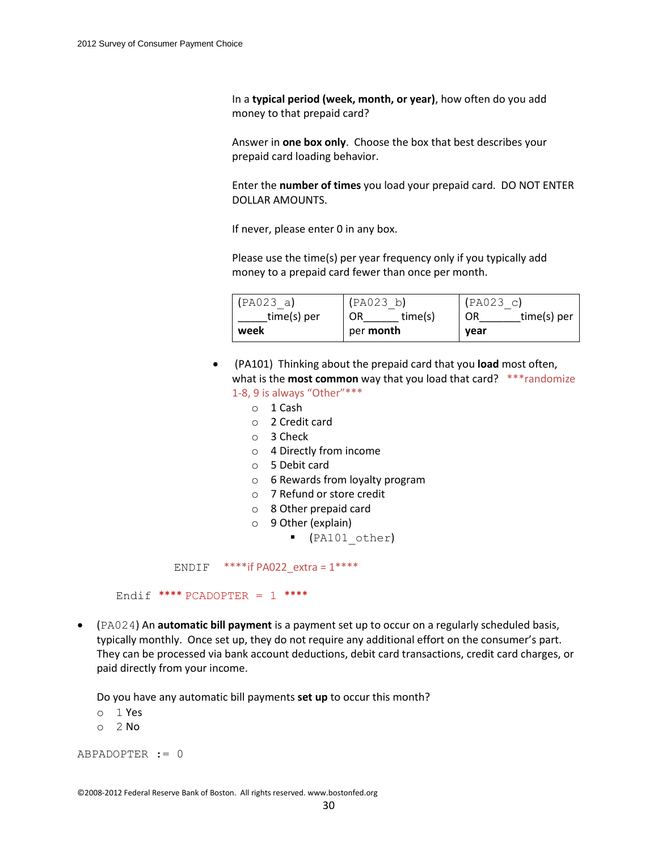In a **typical period (week, month, or year)**, how often do you add money to that prepaid card?

Answer in **one box only**. Choose the box that best describes your prepaid card loading behavior.

Enter the **number of times** you load your prepaid card. DO NOT ENTER DOLLAR AMOUNTS.

If never, please enter 0 in any box.

Please use the time(s) per year frequency only if you typically add money to a prepaid card fewer than once per month.

| (PA023 a)   | (PAO23 b)        | (PAO23 c)         |
|-------------|------------------|-------------------|
| time(s) per | time(s)<br>OR    | time(s) per<br>OR |
| week        | per <b>month</b> | year              |

- (PA101) Thinking about the prepaid card that you **load** most often, what is the **most common** way that you load that card? \*\*\*randomize 1-8, 9 is always "Other"\*\*\*
	- o 1 Cash
	- o 2 Credit card
	- o 3 Check
	- o 4 Directly from income
	- o 5 Debit card
	- o 6 Rewards from loyalty program
	- o 7 Refund or store credit
	- o 8 Other prepaid card
	- o 9 Other (explain)
		- (PA101\_other)

ENDIF  $***$ if PA022 extra = 1\*\*\*\*

Endif \*\*\*\* PCADOPTER =  $1$  \*\*\*\*

 (PA024) An **automatic bill payment** is a payment set up to occur on a regularly scheduled basis, typically monthly. Once set up, they do not require any additional effort on the consumer's part. They can be processed via bank account deductions, debit card transactions, credit card charges, or paid directly from your income.

Do you have any automatic bill payments **set up** to occur this month?

- o 1 Yes
- o 2 No

ABPADOPTER := 0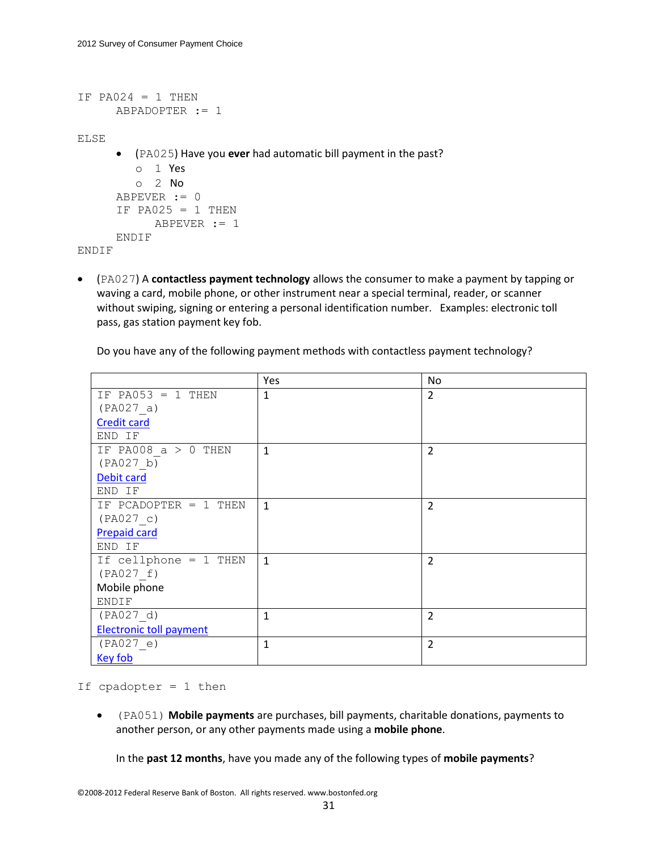```
IF PA024 = 1 THEN
     ABPADOPTER := 1
ELSE
       (PA025) Have you ever had automatic bill payment in the past?
         o 1 Yes
         o 2 No
      ABPEVER := 0
      IF PA025 = 1 THEN
            ABPEVER := 1
     ENDIF
ENDIF
```
 (PA027) A **contactless payment technology** allows the consumer to make a payment by tapping or waving a card, mobile phone, or other instrument near a special terminal, reader, or scanner without swiping, signing or entering a personal identification number. Examples: electronic toll pass, gas station payment key fob.

Do you have any of the following payment methods with contactless payment technology?

|                                | Yes          | No             |
|--------------------------------|--------------|----------------|
| IF PA053 = 1 THEN              | $\mathbf{1}$ | $\overline{2}$ |
| (PAO27 a)                      |              |                |
| <b>Credit card</b>             |              |                |
| END IF                         |              |                |
| IF PA008 $a > 0$ THEN          | $\mathbf{1}$ | $\overline{2}$ |
| (PAO27 b)                      |              |                |
| Debit card                     |              |                |
| END IF                         |              |                |
| IF PCADOPTER $= 1$ THEN        | $\mathbf{1}$ | $\overline{2}$ |
| (PAO27 c)                      |              |                |
| <b>Prepaid card</b>            |              |                |
| END IF                         |              |                |
| If cellphone = 1 THEN          | $\mathbf{1}$ | $\overline{2}$ |
| (PAO27 f)                      |              |                |
| Mobile phone                   |              |                |
| ENDIF                          |              |                |
| (PAO27 d)                      | $\mathbf{1}$ | $\overline{2}$ |
| <b>Electronic toll payment</b> |              |                |
| (PAO27 e)                      | $\mathbf{1}$ | $\overline{2}$ |
| <b>Key fob</b>                 |              |                |

If  $cpadopter = 1$  then

 (PA051) **Mobile payments** are purchases, bill payments, charitable donations, payments to another person, or any other payments made using a **mobile phone**.

In the **past 12 months**, have you made any of the following types of **mobile payments**?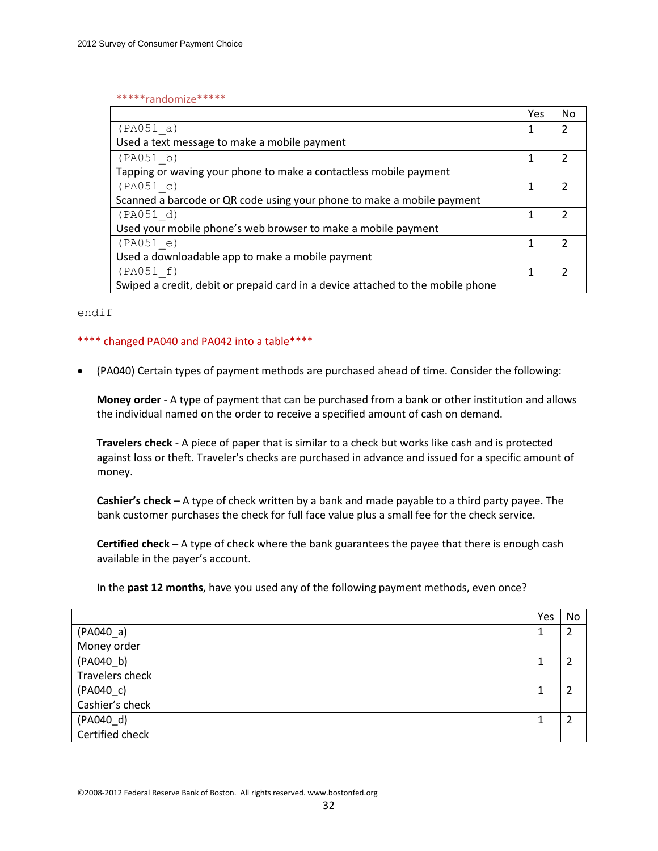#### \*\*\*\*\*randomize\*\*\*\*\*

|                                                                                 | Yes | <b>No</b> |
|---------------------------------------------------------------------------------|-----|-----------|
| (PAO51 a)                                                                       |     | 2         |
| Used a text message to make a mobile payment                                    |     |           |
| (PAO51 b)                                                                       |     | 2         |
| Tapping or waving your phone to make a contactless mobile payment               |     |           |
| (PAO51 c)                                                                       |     | 2         |
| Scanned a barcode or QR code using your phone to make a mobile payment          |     |           |
| (PAO51 d)                                                                       |     | 2         |
| Used your mobile phone's web browser to make a mobile payment                   |     |           |
| (PAO51 e)                                                                       |     | 7         |
| Used a downloadable app to make a mobile payment                                |     |           |
| (PAO51 f)                                                                       | 1   | 2         |
| Swiped a credit, debit or prepaid card in a device attached to the mobile phone |     |           |

endif

### \*\*\*\* changed PA040 and PA042 into a table\*\*\*\*

(PA040) Certain types of payment methods are purchased ahead of time. Consider the following:

**Money order** - A type of payment that can be purchased from a bank or other institution and allows the individual named on the order to receive a specified amount of cash on demand.

**Travelers check** - A piece of paper that is similar to a check but works like cash and is protected against loss or theft. Traveler's checks are purchased in advance and issued for a specific amount of money.

**Cashier's check** – A type of check written by a bank and made payable to a third party payee. The bank customer purchases the check for full face value plus a small fee for the check service.

**Certified check** – A type of check where the bank guarantees the payee that there is enough cash available in the payer's account.

In the **past 12 months**, have you used any of the following payment methods, even once?

|                 | Yes    | No |
|-----------------|--------|----|
| $(PAO40_a)$     | 1<br>Ŧ | 2  |
| Money order     |        |    |
| (PA040_b)       | 1      | 2  |
| Travelers check |        |    |
| $(PAO40_c)$     | 1      | າ  |
| Cashier's check |        |    |
| (PA040_d)       |        | ว  |
| Certified check |        |    |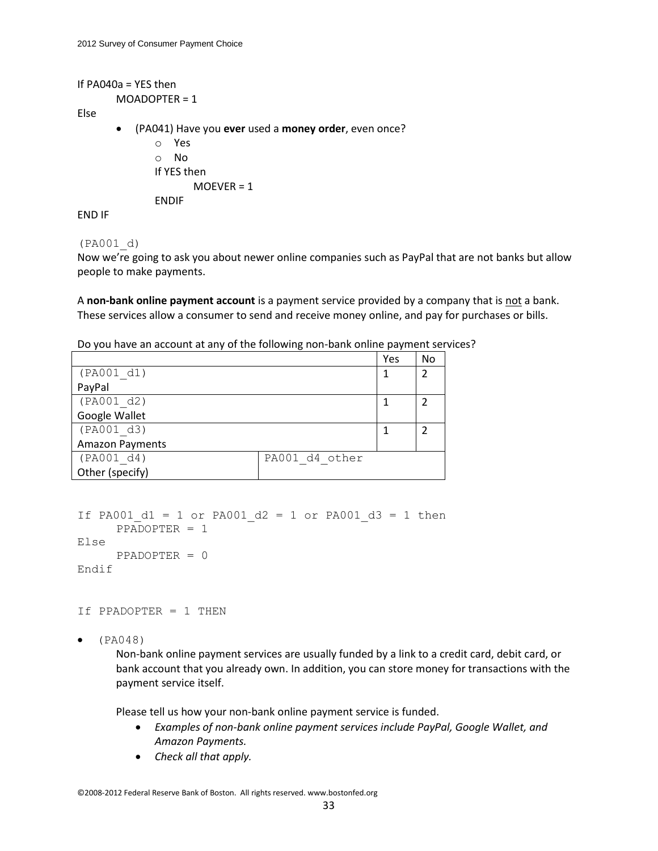```
If PA040a = YES then
       MOADOPTER = 1
Else
```
(PA041) Have you **ever** used a **money order**, even once?

o Yes o No If YES then MOEVER = 1 ENDIF

END IF

#### (PA001\_d)

Now we're going to ask you about newer online companies such as PayPal that are not banks but allow people to make payments.

A **non-bank online payment account** is a payment service provided by a company that is not a bank. These services allow a consumer to send and receive money online, and pay for purchases or bills.

| Do you have an account at any of the following non-bank online payment services? |  |  |
|----------------------------------------------------------------------------------|--|--|
|----------------------------------------------------------------------------------|--|--|

|                              | Yes | <b>No</b> |
|------------------------------|-----|-----------|
| (PA001 d1)                   |     | 2         |
| PayPal                       |     |           |
| (PA001 d2)                   |     |           |
| Google Wallet                |     |           |
| (PA001 d3)                   |     | 2         |
| <b>Amazon Payments</b>       |     |           |
| (PA001 d4)<br>PA001 d4 other |     |           |
| Other (specify)              |     |           |

```
If PA001 d1 = 1 or PA001 d2 = 1 or PA001 d3 = 1 then
     PPADOPTER = 1
Else
     PPADOPTER = 0
Endif
```
If PPADOPTER = 1 THEN

 $\bullet$  (PA048)

Non-bank online payment services are usually funded by a link to a credit card, debit card, or bank account that you already own. In addition, you can store money for transactions with the payment service itself.

Please tell us how your non-bank online payment service is funded.

- *Examples of non-bank online payment services include PayPal, Google Wallet, and Amazon Payments.*
- *Check all that apply.*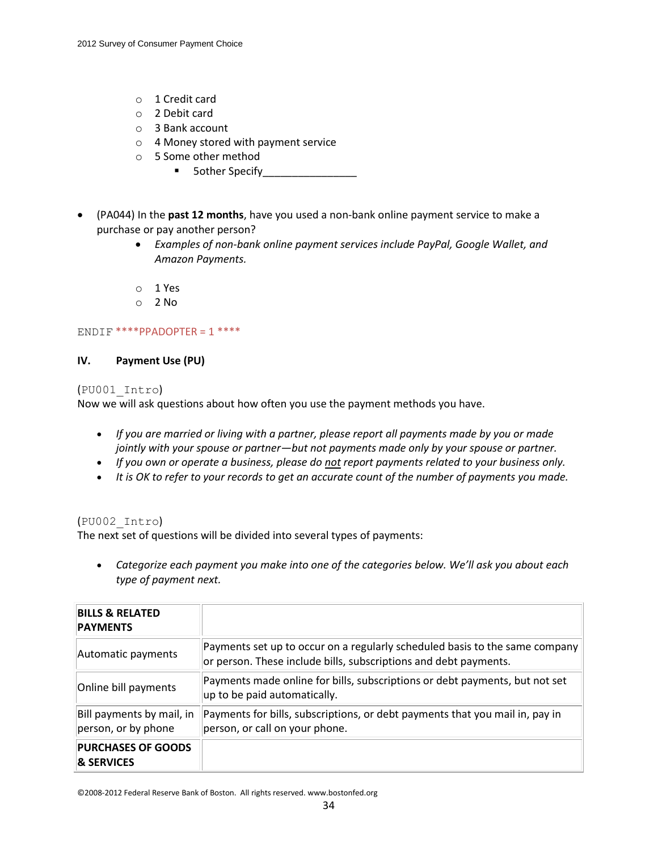- o 1 Credit card
- o 2 Debit card
- o 3 Bank account
- o 4 Money stored with payment service
- o 5 Some other method
	- 5other Specify\_\_\_\_\_\_\_\_\_\_\_\_\_\_\_\_
- (PA044) In the **past 12 months**, have you used a non-bank online payment service to make a purchase or pay another person?
	- *Examples of non-bank online payment services include PayPal, Google Wallet, and Amazon Payments.*
	- o 1 Yes
	- o 2 No

# $ENDIF$  \*\*\*\*PPADOPTER = 1 \*\*\*\*

# **IV. Payment Use (PU)**

# (PU001\_Intro)

Now we will ask questions about how often you use the payment methods you have.

- *If you are married or living with a partner, please report all payments made by you or made jointly with your spouse or partner—but not payments made only by your spouse or partner.*
- *If you own or operate a business, please do not report payments related to your business only.*
- *It is OK to refer to your records to get an accurate count of the number of payments you made.*

# (PU002\_Intro)

The next set of questions will be divided into several types of payments:

 *Categorize each payment you make into one of the categories below. We'll ask you about each type of payment next.*

| <b>BILLS &amp; RELATED</b><br><b>PAYMENTS</b>      |                                                                                                                                                 |
|----------------------------------------------------|-------------------------------------------------------------------------------------------------------------------------------------------------|
| Automatic payments                                 | Payments set up to occur on a regularly scheduled basis to the same company<br>or person. These include bills, subscriptions and debt payments. |
| Online bill payments                               | Payments made online for bills, subscriptions or debt payments, but not set<br>up to be paid automatically.                                     |
| Bill payments by mail, in<br>person, or by phone   | Payments for bills, subscriptions, or debt payments that you mail in, pay in<br>person, or call on your phone.                                  |
| <b>PURCHASES OF GOODS</b><br><b>&amp; SERVICES</b> |                                                                                                                                                 |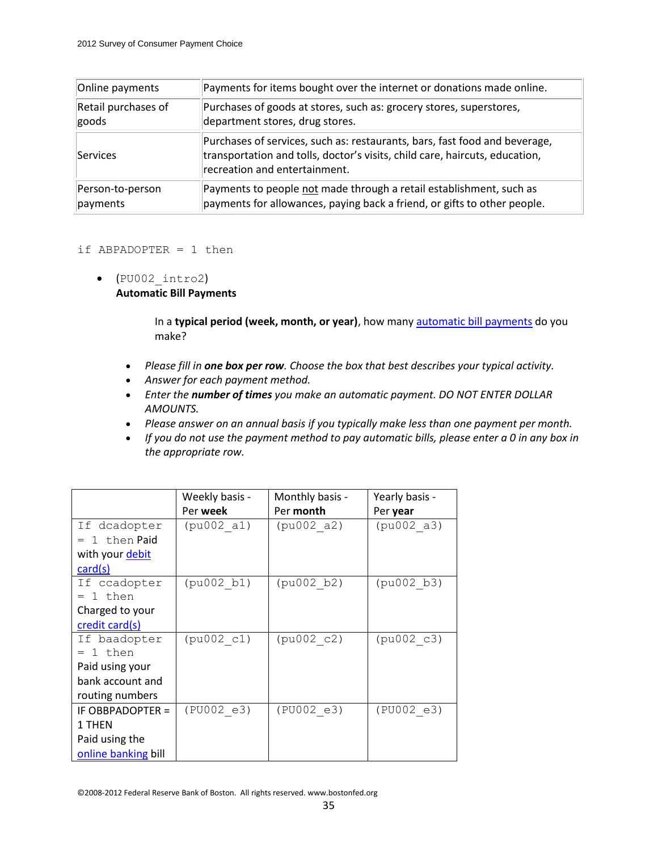| Online payments     | Payments for items bought over the internet or donations made online.                                                                                                                      |
|---------------------|--------------------------------------------------------------------------------------------------------------------------------------------------------------------------------------------|
| Retail purchases of | Purchases of goods at stores, such as: grocery stores, superstores,                                                                                                                        |
| goods               | department stores, drug stores.                                                                                                                                                            |
| Services            | Purchases of services, such as: restaurants, bars, fast food and beverage,<br>transportation and tolls, doctor's visits, child care, haircuts, education,<br>recreation and entertainment. |
| Person-to-person    | Payments to people not made through a retail establishment, such as                                                                                                                        |
| payments            | payments for allowances, paying back a friend, or gifts to other people.                                                                                                                   |

### if ABPADOPTER  $= 1$  then

 $\bullet$  (PU002 intro2) **Automatic Bill Payments**

> In a **typical period (week, month, or year)**, how many automatic bill payments do you make?

- *Please fill in one box per row. Choose the box that best describes your typical activity.*
- *Answer for each payment method.*
- *Enter the number of times you make an automatic payment. DO NOT ENTER DOLLAR AMOUNTS.*
- *Please answer on an annual basis if you typically make less than one payment per month.*
- *If you do not use the payment method to pay automatic bills, please enter a 0 in any box in the appropriate row.*

|                     | Weekly basis - | Monthly basis - | Yearly basis - |
|---------------------|----------------|-----------------|----------------|
|                     | Per week       | Per month       | Per year       |
| If dcadopter        | (pu002 a1)     | (pu002 a2)      | (pu002 a3)     |
| $= 1$ then Paid     |                |                 |                |
| with your debit     |                |                 |                |
| card(s)             |                |                 |                |
| If ccadopter        | (pu002 b1)     | (pu002 b2)      | (pu002 b3)     |
| $= 1$ then          |                |                 |                |
| Charged to your     |                |                 |                |
| credit card(s)      |                |                 |                |
| If baadopter        | (pu002 c1)     | (pu002 c2)      | (pu002 c3)     |
| 1 then              |                |                 |                |
| Paid using your     |                |                 |                |
| bank account and    |                |                 |                |
| routing numbers     |                |                 |                |
| IF OBBPADOPTER =    | (PU002 e3)     | (PU002 e3)      | (PU002 e3)     |
| 1 THEN              |                |                 |                |
| Paid using the      |                |                 |                |
| online banking bill |                |                 |                |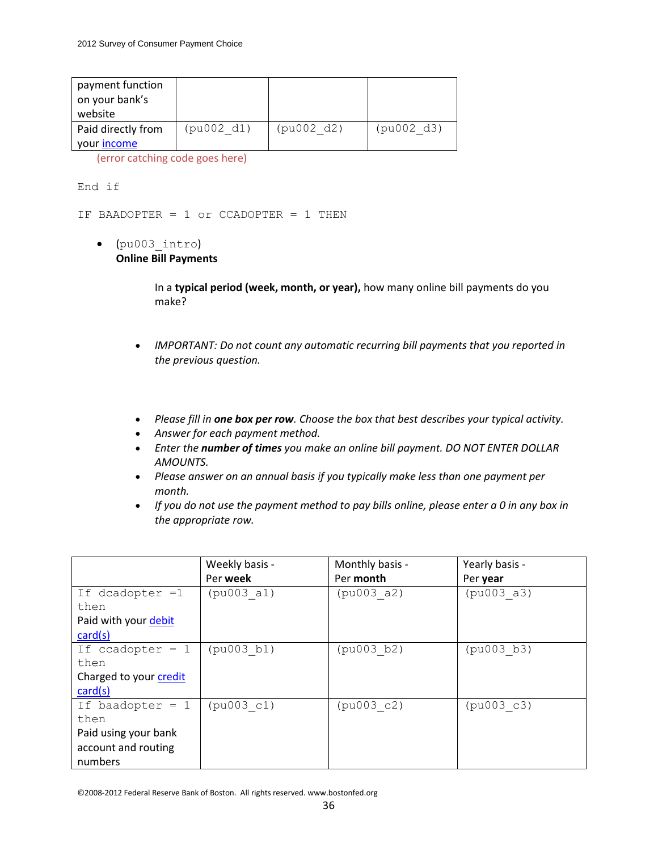| payment function<br>on your bank's<br>website |            |            |            |
|-----------------------------------------------|------------|------------|------------|
| Paid directly from<br>your income             | (pu002 d1) | (pu002 d2) | (pu002 d3) |

End if

IF BAADOPTER = 1 or CCADOPTER = 1 THEN

(pu003\_intro)

**Online Bill Payments**

In a **typical period (week, month, or year),** how many online bill payments do you make?

- *IMPORTANT: Do not count any automatic recurring bill payments that you reported in the previous question.*
- *Please fill in one box per row. Choose the box that best describes your typical activity.*
- *Answer for each payment method.*
- *Enter the number of times you make an online bill payment. DO NOT ENTER DOLLAR AMOUNTS.*
- *Please answer on an annual basis if you typically make less than one payment per month.*
- *If you do not use the payment method to pay bills online, please enter a 0 in any box in the appropriate row.*

|                        | Weekly basis - | Monthly basis - | Yearly basis - |
|------------------------|----------------|-----------------|----------------|
|                        | Per week       | Per month       | Per year       |
| If dcadopter $=1$      | (pu003 a1)     | (pu003 a2)      | (pu003 a3)     |
| then                   |                |                 |                |
| Paid with your debit   |                |                 |                |
| card(s)                |                |                 |                |
| If ccadopter $= 1$     | (pu003 b1)     | (pu003 b2)      | (pu003 b3)     |
| then                   |                |                 |                |
| Charged to your credit |                |                 |                |
| card(s)                |                |                 |                |
| If baadopter $= 1$     | (pu003 c1)     | (pu003 c2)      | (pu003 c3)     |
| then                   |                |                 |                |
| Paid using your bank   |                |                 |                |
| account and routing    |                |                 |                |
| numbers                |                |                 |                |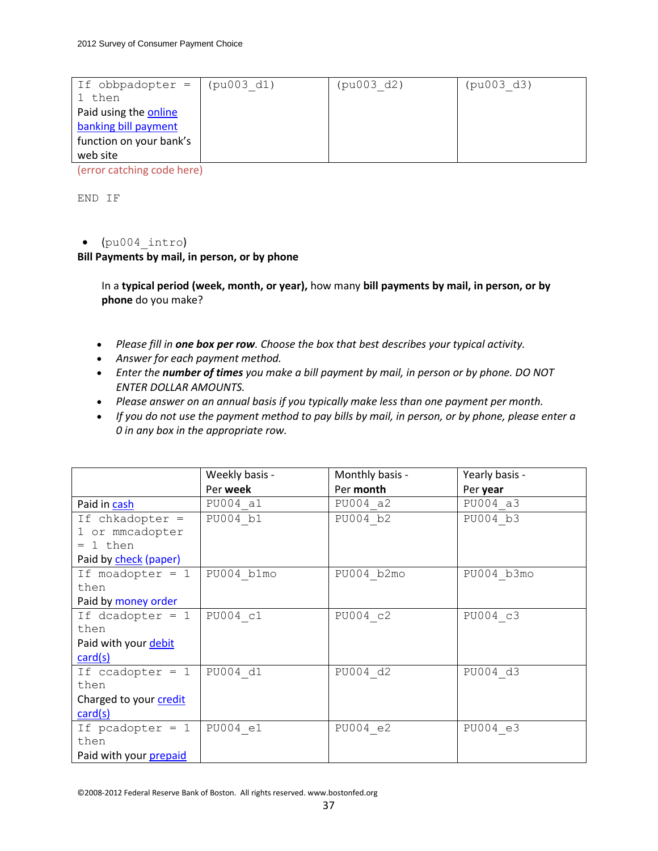| If obbpadopter $=$      | (pu003 d1) | (pu003 d2) | (pu003 d3) |
|-------------------------|------------|------------|------------|
| 1 then                  |            |            |            |
| Paid using the online   |            |            |            |
| banking bill payment    |            |            |            |
| function on your bank's |            |            |            |
| web site                |            |            |            |

END IF

# $\bullet$  (pu004 intro)

**Bill Payments by mail, in person, or by phone**

In a **typical period (week, month, or year),** how many **bill payments by mail, in person, or by phone** do you make?

- *Please fill in one box per row. Choose the box that best describes your typical activity.*
- *Answer for each payment method.*
- *Enter the number of times you make a bill payment by mail, in person or by phone. DO NOT ENTER DOLLAR AMOUNTS.*
- *Please answer on an annual basis if you typically make less than one payment per month.*
- *If you do not use the payment method to pay bills by mail, in person, or by phone, please enter a 0 in any box in the appropriate row.*

|                        | Weekly basis - | Monthly basis - | Yearly basis - |
|------------------------|----------------|-----------------|----------------|
|                        | Per week       | Per month       | Per year       |
| Paid in cash           | PU004 a1       | PU004 a2        | PU004 a3       |
| If chkadopter =        | PU004 b1       | PU004 b2        | PU004 b3       |
| 1 or mmcadopter        |                |                 |                |
| $= 1$ then             |                |                 |                |
| Paid by check (paper)  |                |                 |                |
| If moadopter $= 1$     | PU004 b1mo     | PU004 b2mo      | PU004 b3mo     |
| then                   |                |                 |                |
| Paid by money order    |                |                 |                |
| If dcadopter $= 1$     | PU004 c1       | PU004 c2        | PU004 c3       |
| then                   |                |                 |                |
| Paid with your debit   |                |                 |                |
| card(s)                |                |                 |                |
| If $ccadopter = 1$     | PU004 d1       | PU004 d2        | PU004 d3       |
| then                   |                |                 |                |
| Charged to your credit |                |                 |                |
| card(s)                |                |                 |                |
| If pcadopter $= 1$     | PU004 e1       | PU004 e2        | PU004 e3       |
| then                   |                |                 |                |
| Paid with your prepaid |                |                 |                |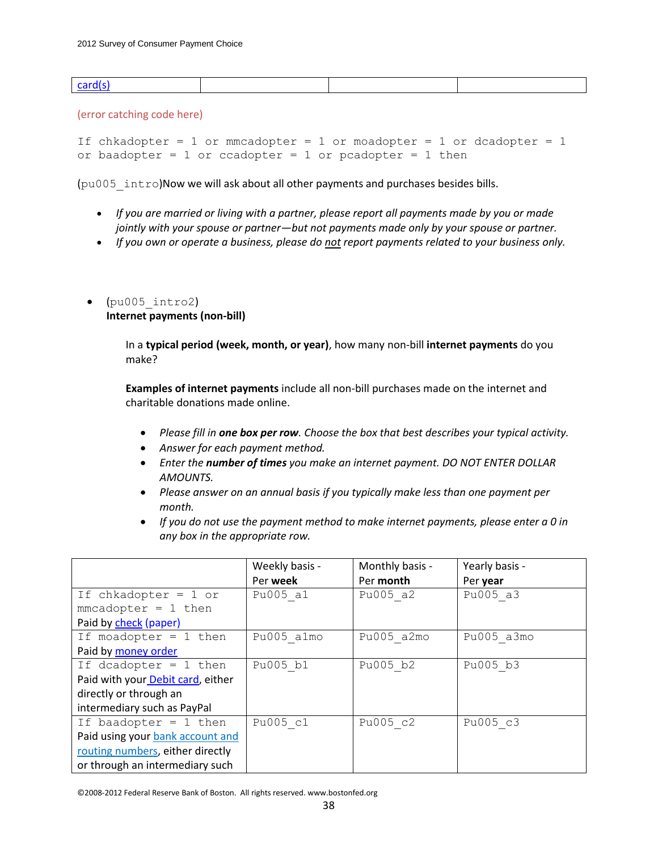| <b>Cardis</b> |  |  |
|---------------|--|--|
|               |  |  |

If chkadopter =  $1$  or mmcadopter =  $1$  or moadopter =  $1$  or dcadopter =  $1$ or baadopter =  $1$  or ccadopter =  $1$  or pcadopter =  $1$  then

(pu005\_intro)Now we will ask about all other payments and purchases besides bills.

- *If you are married or living with a partner, please report all payments made by you or made jointly with your spouse or partner—but not payments made only by your spouse or partner.*
- *If you own or operate a business, please do not report payments related to your business only.*
- $(pu005$  intro2) **Internet payments (non-bill)**

In a **typical period (week, month, or year)**, how many non-bill **internet payments** do you make?

**Examples of internet payments** include all non-bill purchases made on the internet and charitable donations made online.

- *Please fill in one box per row. Choose the box that best describes your typical activity.*
- *Answer for each payment method.*
- *Enter the number of times you make an internet payment. DO NOT ENTER DOLLAR AMOUNTS.*
- *Please answer on an annual basis if you typically make less than one payment per month.*
- *If you do not use the payment method to make internet payments, please enter a 0 in any box in the appropriate row.*

|                                   | Weekly basis -  | Monthly basis - | Yearly basis - |
|-----------------------------------|-----------------|-----------------|----------------|
|                                   | Per <b>week</b> | Per month       | Per year       |
| If chkadopter = $1$ or            | Pu005 a1        | Pu005 a2        | Pu005 a3       |
| $mmcadopter = 1 then$             |                 |                 |                |
| Paid by check (paper)             |                 |                 |                |
| If moadopter = $1$ then           | Pu005 almo      | Pu005 a2mo      | Pu005 a3mo     |
| Paid by money order               |                 |                 |                |
| If dcadopter = $1$ then           | Pu005 b1        | Pu005 b2        | Pu005 b3       |
| Paid with your Debit card, either |                 |                 |                |
| directly or through an            |                 |                 |                |
| intermediary such as PayPal       |                 |                 |                |
| If baadopter = $1$ then           | Pu005 c1        | Pu005 c2        | Pu005 c3       |
| Paid using your bank account and  |                 |                 |                |
| routing numbers, either directly  |                 |                 |                |
| or through an intermediary such   |                 |                 |                |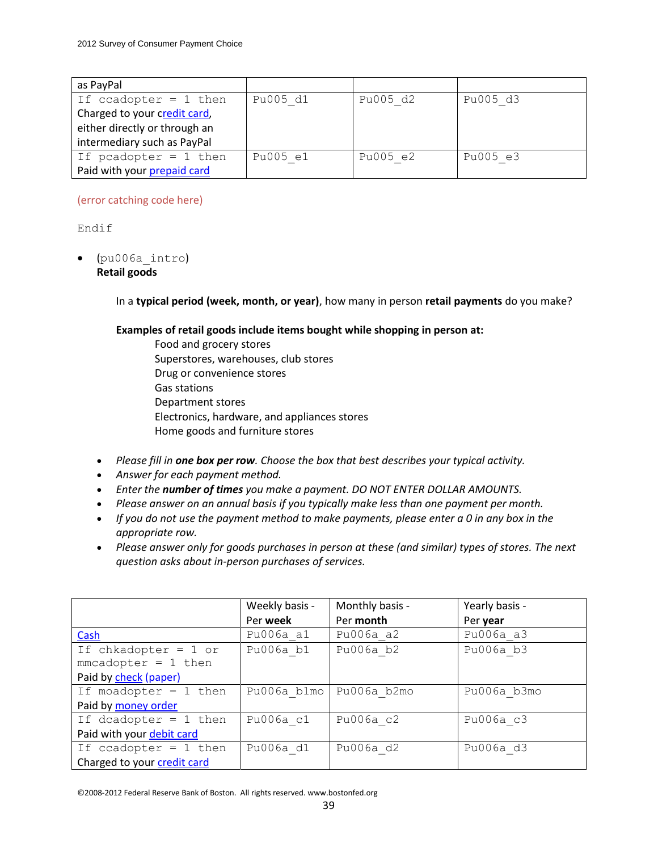| as PayPal                     |          |          |          |
|-------------------------------|----------|----------|----------|
| If ccadopter = $1$ then       | Pu005 d1 | Pu005 d2 | Pu005 d3 |
| Charged to your credit card,  |          |          |          |
| either directly or through an |          |          |          |
| intermediary such as PayPal   |          |          |          |
| If pcadopter = $1$ then       | Pu005 e1 | Pu005 e2 | Pu005 e3 |
| Paid with your prepaid card   |          |          |          |

# Endif

 (pu006a\_intro) **Retail goods**

In a **typical period (week, month, or year)**, how many in person **retail payments** do you make?

# **Examples of retail goods include items bought while shopping in person at:**

- Food and grocery stores Superstores, warehouses, club stores Drug or convenience stores Gas stations Department stores Electronics, hardware, and appliances stores Home goods and furniture stores
- *Please fill in one box per row. Choose the box that best describes your typical activity.*
- *Answer for each payment method.*
- *Enter the number of times you make a payment. DO NOT ENTER DOLLAR AMOUNTS.*
- *Please answer on an annual basis if you typically make less than one payment per month.*
- *If you do not use the payment method to make payments, please enter a 0 in any box in the appropriate row.*
- *Please answer only for goods purchases in person at these (and similar) types of stores. The next question asks about in-person purchases of services.*

|                             | Weekly basis - | Monthly basis - | Yearly basis - |
|-----------------------------|----------------|-----------------|----------------|
|                             | Per week       | Per month       | Per year       |
| Cash                        | Pu006a a1      | Pu006a a2       | Pu006a a3      |
| If chkadopter = $1$ or      | Pu006a b1      | Pu006a b2       | Pu006a b3      |
| $mmcadopter = 1 then$       |                |                 |                |
| Paid by check (paper)       |                |                 |                |
| If moadopter = $1$ then     | Pu006a b1mo    | Pu006a b2mo     | Pu006a b3mo    |
| Paid by money order         |                |                 |                |
| If dcadopter = $1$ then     | Pu006a c1      | Pu006a c2       | Pu006a c3      |
| Paid with your debit card   |                |                 |                |
| If ccadopter = $1$ then     | Pu006a d1      | Pu006a d2       | Pu006a d3      |
| Charged to your credit card |                |                 |                |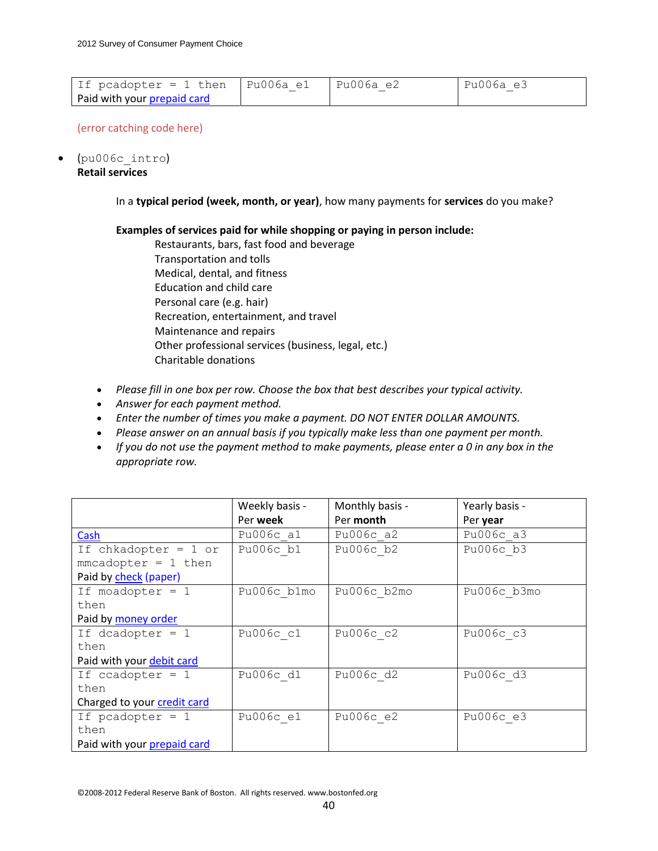| If pcadopter = 1 then   Pu006a e1 | Pu006a e2 | Pu006a e3 |
|-----------------------------------|-----------|-----------|
| Paid with your prepaid card       |           |           |

(pu006c\_intro)

**Retail services**

In a **typical period (week, month, or year)**, how many payments for **services** do you make?

**Examples of services paid for while shopping or paying in person include:**

- Restaurants, bars, fast food and beverage Transportation and tolls Medical, dental, and fitness Education and child care Personal care (e.g. hair) Recreation, entertainment, and travel Maintenance and repairs Other professional services (business, legal, etc.) Charitable donations
- *Please fill in one box per row. Choose the box that best describes your typical activity.*
- *Answer for each payment method.*
- *Enter the number of times you make a payment. DO NOT ENTER DOLLAR AMOUNTS.*
- *Please answer on an annual basis if you typically make less than one payment per month.*
- *If you do not use the payment method to make payments, please enter a 0 in any box in the appropriate row.*

|                             | Weekly basis - | Monthly basis - | Yearly basis - |
|-----------------------------|----------------|-----------------|----------------|
|                             | Per week       | Per month       | Per year       |
| Cash                        | Pu006c a1      | Pu006c a2       | Pu006c a3      |
| If chkadopter = $1$ or      | Pu006c b1      | Pu006c b2       | Pu006c b3      |
| $mmcadopter = 1 then$       |                |                 |                |
| Paid by check (paper)       |                |                 |                |
| If moadopter = $1$          | Pu006c b1mo    | Pu006c b2mo     | Pu006c b3mo    |
| then                        |                |                 |                |
| Paid by money order         |                |                 |                |
| If dcadopter $= 1$          | Pu006c c1      | Pu006c c2       | Pu006c c3      |
| then                        |                |                 |                |
| Paid with your debit card   |                |                 |                |
| If ccadopter $= 1$          | Pu006c d1      | Pu006c d2       | Pu006c d3      |
| then                        |                |                 |                |
| Charged to your credit card |                |                 |                |
| If pcadopter $= 1$          | Pu006c e1      | Pu006c e2       | Pu006c e3      |
| then                        |                |                 |                |
| Paid with your prepaid card |                |                 |                |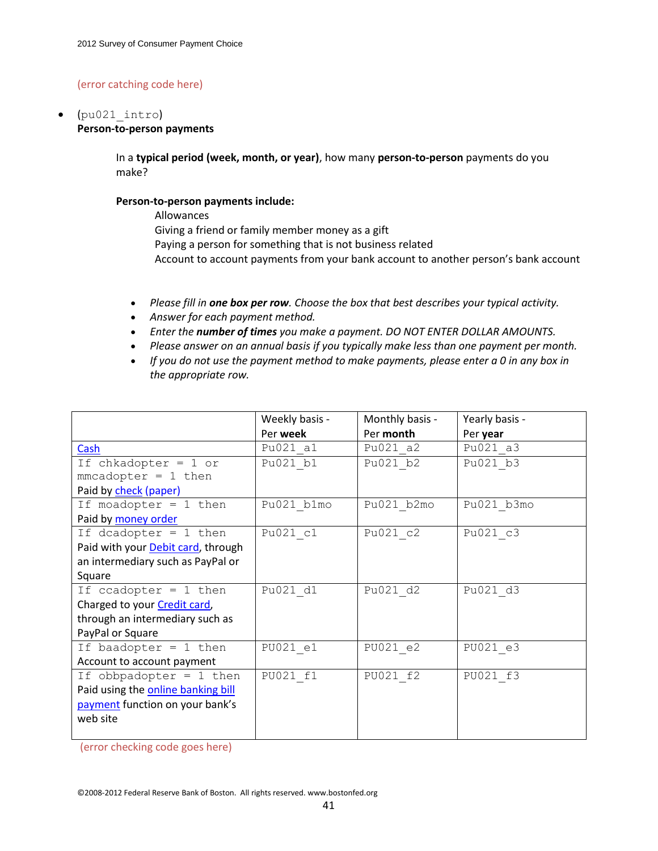# (pu021\_intro)

### **Person-to-person payments**

In a **typical period (week, month, or year)**, how many **person-to-person** payments do you make?

#### **Person-to-person payments include:**

Allowances Giving a friend or family member money as a gift Paying a person for something that is not business related Account to account payments from your bank account to another person's bank account

- *Please fill in one box per row. Choose the box that best describes your typical activity.*
- *Answer for each payment method.*
- *Enter the number of times you make a payment. DO NOT ENTER DOLLAR AMOUNTS.*
- *Please answer on an annual basis if you typically make less than one payment per month.*
- *If you do not use the payment method to make payments, please enter a 0 in any box in the appropriate row.*

|                                    | Weekly basis - | Monthly basis - | Yearly basis - |
|------------------------------------|----------------|-----------------|----------------|
|                                    | Per week       | Per month       | Per year       |
| Cash                               | Pu021 a1       | Pu021 a2        | Pu021 a3       |
| If chkadopter = $1$ or             | Pu021 b1       | Pu021 b2        | Pu021 b3       |
| $mmcadopter = 1 then$              |                |                 |                |
| Paid by check (paper)              |                |                 |                |
| If moadopter = $1$ then            | Pu021 b1mo     | Pu021 b2mo      | Pu021 b3mo     |
| Paid by money order                |                |                 |                |
| If dcadopter = $1$ then            | Pu021 c1       | Pu021 c2        | Pu021 c3       |
| Paid with your Debit card, through |                |                 |                |
| an intermediary such as PayPal or  |                |                 |                |
| Square                             |                |                 |                |
| If ccadopter = $1$ then            | Pu021 d1       | Pu021 d2        | Pu021 d3       |
| Charged to your Credit card,       |                |                 |                |
| through an intermediary such as    |                |                 |                |
| PayPal or Square                   |                |                 |                |
| If baadopter = $1$ then            | PU021 e1       | PU021 e2        | PU021 e3       |
| Account to account payment         |                |                 |                |
| If obbpadopter = $1$ then          | PU021 f1       | PU021 f2        | PU021 f3       |
| Paid using the online banking bill |                |                 |                |
| payment function on your bank's    |                |                 |                |
| web site                           |                |                 |                |
|                                    |                |                 |                |

(error checking code goes here)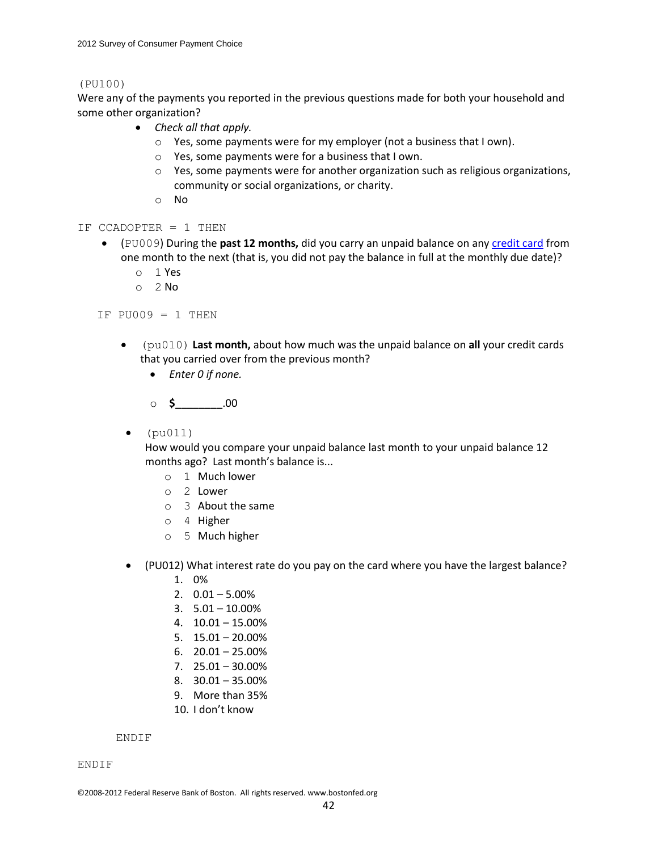#### (PU100)

Were any of the payments you reported in the previous questions made for both your household and some other organization?

- *Check all that apply.*
	- o Yes, some payments were for my employer (not a business that I own).
	- o Yes, some payments were for a business that I own.
	- o Yes, some payments were for another organization such as religious organizations, community or social organizations, or charity.
	- o No
- IF CCADOPTER = 1 THEN
	- (PU009) During the **past 12 months,** did you carry an unpaid balance on any credit card from one month to the next (that is, you did not pay the balance in full at the monthly due date)?
		- o 1 Yes
		- $O<sub>2</sub>$  No

IF  $PU009 = 1$  THEN

- (pu010) **Last month,** about how much was the unpaid balance on **all** your credit cards that you carried over from the previous month?
	- *Enter 0 if none.*

o **\$\_\_\_\_\_\_\_\_**.00

 $\bullet$  (pu011)

How would you compare your unpaid balance last month to your unpaid balance 12 months ago? Last month's balance is...

- o 1 Much lower
- o 2 Lower
- o 3 About the same
- o 4 Higher
- o 5 Much higher
- (PU012) What interest rate do you pay on the card where you have the largest balance?
	- 1. 0%
	- 2.  $0.01 5.00\%$
	- $3. 5.01 10.00\%$
	- 4. 10.01 15.00%
	- 5. 15.01 20.00%
	- 6.  $20.01 25.00\%$
	- 7. 25.01 30.00%
	- 8. 30.01 35.00%
	- 9. More than 35%
	- 10. I don't know

ENDIF

ENDIF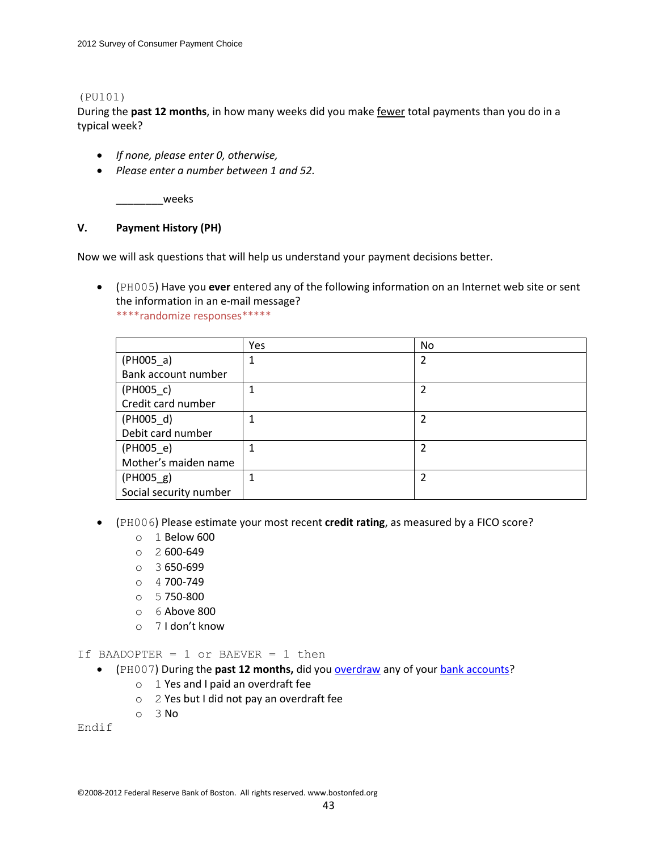### (PU101)

During the **past 12 months**, in how many weeks did you make fewer total payments than you do in a typical week?

- *If none, please enter 0, otherwise,*
- *Please enter a number between 1 and 52.*

\_\_\_\_\_\_\_\_weeks

### **V. Payment History (PH)**

Now we will ask questions that will help us understand your payment decisions better.

 (PH005) Have you **ever** entered any of the following information on an Internet web site or sent the information in an e-mail message?

\*\*\*\*randomize responses\*\*\*\*\*

|                        | Yes | <b>No</b>      |
|------------------------|-----|----------------|
| $(PH005_a)$            |     | 2              |
| Bank account number    |     |                |
| $(PH005_c)$            |     | $\overline{2}$ |
| Credit card number     |     |                |
| $(PH005_d)$            |     | 2              |
| Debit card number      |     |                |
| $(PH005_e)$            |     | $\mathcal{P}$  |
| Mother's maiden name   |     |                |
| $(PH005_g)$            |     | 2              |
| Social security number |     |                |

- (PH006) Please estimate your most recent **credit rating**, as measured by a FICO score?
	- o 1 Below 600
	- $O$  2 600-649
	- o 3 650-699
	- o 4 700-749
	- o 5 750-800
	- o 6 Above 800
	- o 7 I don't know

If BAADOPTER = 1 or BAEVER = 1 then

- (PH007) During the **past 12 months,** did you overdraw any of your bank accounts?
	- o 1 Yes and I paid an overdraft fee
	- o 2 Yes but I did not pay an overdraft fee
	- o 3 No

Endif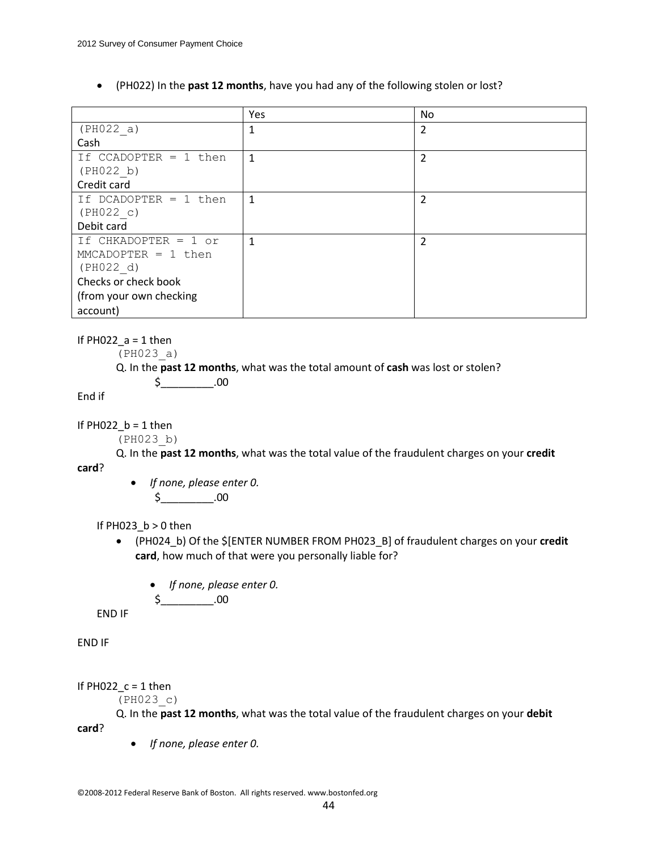(PH022) In the **past 12 months**, have you had any of the following stolen or lost?

|                         | Yes          | <b>No</b>      |
|-------------------------|--------------|----------------|
| (PH022 a)               | 1            | 2              |
| Cash                    |              |                |
| If CCADOPTER $= 1$ then | 1            | 2              |
| (PH022 b)               |              |                |
| Credit card             |              |                |
| If DCADOPTER $= 1$ then | $\mathbf{1}$ | $\overline{2}$ |
| (PH022 c)               |              |                |
| Debit card              |              |                |
| If CHKADOPTER = 1 or    | 1            | 2              |
| $MMCADOPTER = 1 then$   |              |                |
| (PH022 d)               |              |                |
| Checks or check book    |              |                |
| (from your own checking |              |                |
| account)                |              |                |

### If  $PH022$ <sup> $a$ </sup> = 1 then

(PH023\_a)

Q. In the **past 12 months**, what was the total amount of **cash** was lost or stolen?

$$
\xi_{\underline{\hspace{1cm}}\underline{\hspace{1cm}}} = 00
$$

End if

**card**?

If  $PH022$ <sub>\_</sub> $b = 1$  then

(PH023\_b)

Q. In the **past 12 months**, what was the total value of the fraudulent charges on your **credit**

 *If none, please enter 0.*  $$_{\_}$ .00

# If PH023\_b > 0 then

- (PH024\_b) Of the \$[ENTER NUMBER FROM PH023\_B] of fraudulent charges on your **credit card**, how much of that were you personally liable for?
	- *If none, please enter 0.*

$$
\text{\$}\_\_\_0
$$

END IF

END IF

If  $PH022_c = 1$  then

(PH023\_c)

Q. In the **past 12 months**, what was the total value of the fraudulent charges on your **debit** 

**card**?

*If none, please enter 0.*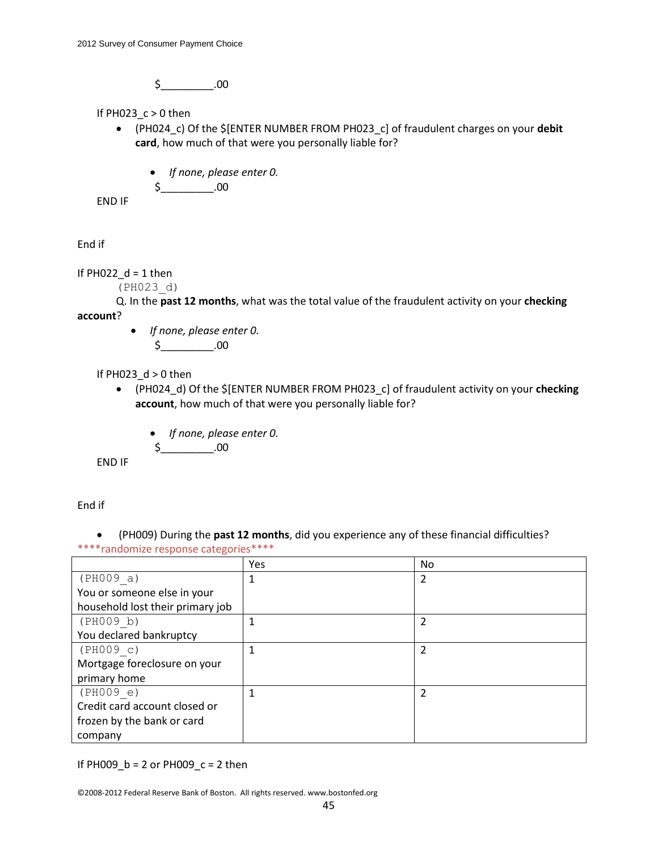$$-.00$ 

If PH023  $c > 0$  then

- (PH024\_c) Of the \$[ENTER NUMBER FROM PH023\_c] of fraudulent charges on your **debit card**, how much of that were you personally liable for?
	- *If none, please enter 0.*

\$\_\_\_\_\_\_\_\_\_.00

END IF

End if

# If  $PH022_d = 1$  then

(PH023\_d)

Q. In the **past 12 months**, what was the total value of the fraudulent activity on your **checking account**?

> *If none, please enter 0.* \$\_\_\_\_\_\_\_\_\_.00

If PH023  $d > 0$  then

- (PH024\_d) Of the \$[ENTER NUMBER FROM PH023\_c] of fraudulent activity on your **checking account**, how much of that were you personally liable for?
	- *If none, please enter 0.*

$$
\text{\AA} \quad \text{\AA} \quad \text{\AA}
$$

END IF

End if

 (PH009) During the **past 12 months**, did you experience any of these financial difficulties? \*\*\*\*randomize response categories\*\*\*\*

|                                  | <b>Yes</b> | <b>No</b>      |
|----------------------------------|------------|----------------|
| (PH009 a)                        |            | 2              |
| You or someone else in your      |            |                |
| household lost their primary job |            |                |
| (PH009 b)                        |            | 2              |
| You declared bankruptcy          |            |                |
| (PH009 c)                        |            | $\overline{2}$ |
| Mortgage foreclosure on your     |            |                |
| primary home                     |            |                |
| (PH009 e)                        |            |                |
| Credit card account closed or    |            |                |
| frozen by the bank or card       |            |                |
| company                          |            |                |

If PH009\_b = 2 or PH009\_c = 2 then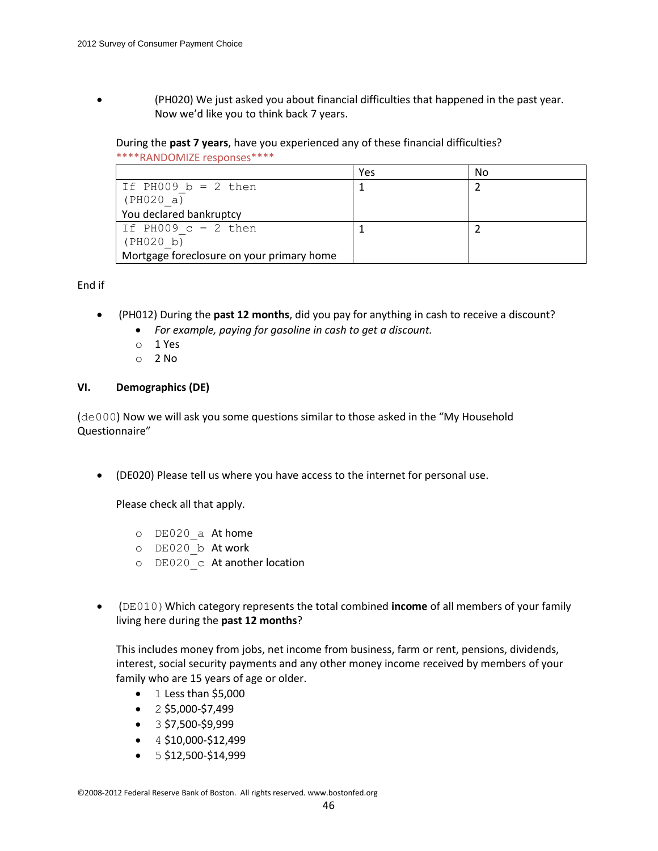(PH020) We just asked you about financial difficulties that happened in the past year. Now we'd like you to think back 7 years.

# During the **past 7 years**, have you experienced any of these financial difficulties?

| ****RANDOMIZE responses**** |  |
|-----------------------------|--|
|-----------------------------|--|

|                                           | Yes | No |
|-------------------------------------------|-----|----|
| If PH009 $b = 2$ then                     |     |    |
| (PH020 a)                                 |     |    |
| You declared bankruptcy                   |     |    |
| If PH009 $c = 2$ then                     |     |    |
| (PH020 b)                                 |     |    |
| Mortgage foreclosure on your primary home |     |    |

# End if

- (PH012) During the **past 12 months**, did you pay for anything in cash to receive a discount?
	- *For example, paying for gasoline in cash to get a discount.*
	- o 1 Yes
	- $O<sub>2</sub>$  No

# **VI. Demographics (DE)**

(de000) Now we will ask you some questions similar to those asked in the "My Household Questionnaire"

(DE020) Please tell us where you have access to the internet for personal use.

Please check all that apply.

- o DE020\_a At home
- o DE020\_b At work
- o DE020\_c At another location
- (DE010)Which category represents the total combined **income** of all members of your family living here during the **past 12 months**?

This includes money from jobs, net income from business, farm or rent, pensions, dividends, interest, social security payments and any other money income received by members of your family who are 15 years of age or older.

- $\bullet$  1 Less than \$5,000
- $\bullet$  2 \$5,000-\$7,499
- $\bullet$  3 \$7,500-\$9,999
- $\bullet$  4 \$10,000-\$12,499
- $\bullet$  5 \$12,500-\$14,999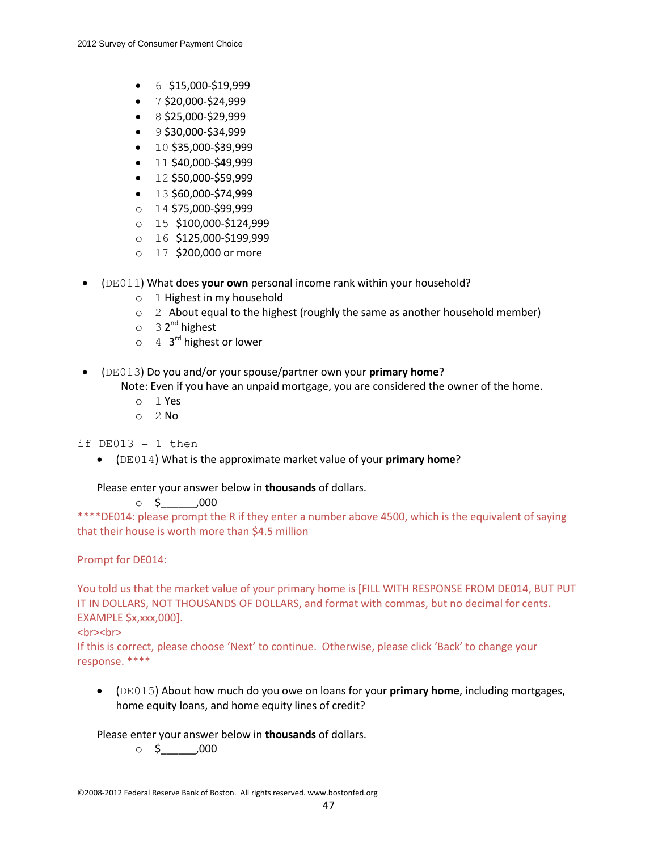- $\bullet$  6 \$15,000-\$19,999
- $\bullet$  7 \$20,000-\$24,999
- $\bullet$  8 \$25,000-\$29,999
- $\bullet$  9 \$30,000-\$34,999
- $\bullet$  10 \$35,000-\$39,999
- $\bullet$  11 \$40,000-\$49,999
- $\bullet$  12 \$50,000-\$59,999
- $\bullet$  13 \$60,000-\$74,999
- o 14 \$75,000-\$99,999
- o 15 \$100,000-\$124,999
- o 16 \$125,000-\$199,999
- o 17 \$200,000 or more
- (DE011) What does **your own** personal income rank within your household?
	- o 1 Highest in my household
	- $\circ$  2 About equal to the highest (roughly the same as another household member)
	- o 32<sup>nd</sup> highest
	- o 4 3<sup>rd</sup> highest or lower
- (DE013) Do you and/or your spouse/partner own your **primary home**?
	- Note: Even if you have an unpaid mortgage, you are considered the owner of the home.
		- o 1 Yes
		- $O<sub>2</sub>$  No

if  $DE013 = 1$  then

(DE014) What is the approximate market value of your **primary home**?

Please enter your answer below in **thousands** of dollars.

 $\circ$  \$ ,000

\*\*\*\*DE014: please prompt the R if they enter a number above 4500, which is the equivalent of saying that their house is worth more than \$4.5 million

Prompt for DE014:

You told us that the market value of your primary home is [FILL WITH RESPONSE FROM DE014, BUT PUT IT IN DOLLARS, NOT THOUSANDS OF DOLLARS, and format with commas, but no decimal for cents. EXAMPLE \$x,xxx,000].

# <br><br>

If this is correct, please choose 'Next' to continue. Otherwise, please click 'Back' to change your response. \*\*\*\*

 (DE015) About how much do you owe on loans for your **primary home**, including mortgages, home equity loans, and home equity lines of credit?

Please enter your answer below in **thousands** of dollars.

 $\circ$  \$  $\qquad$  ,000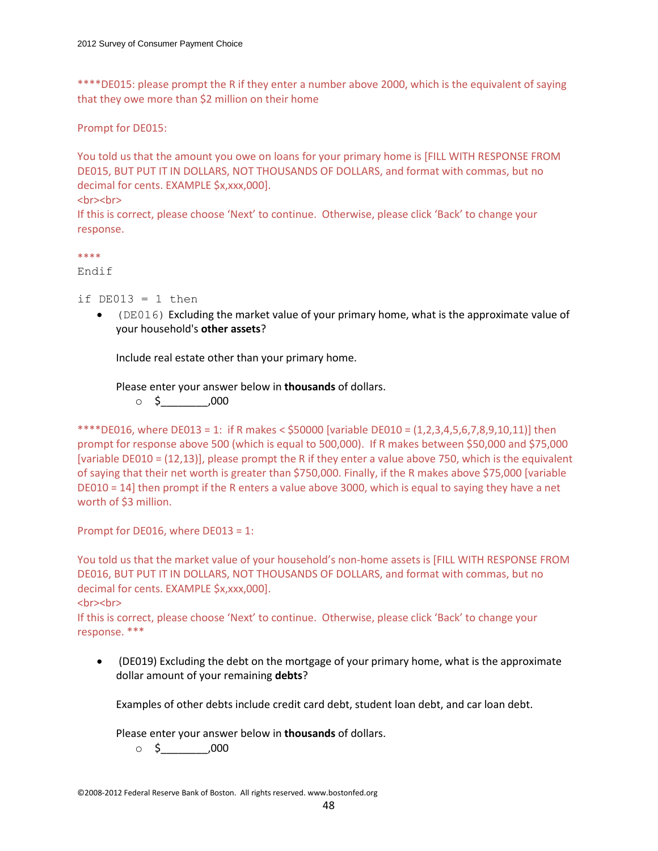\*\*\*\*DE015: please prompt the R if they enter a number above 2000, which is the equivalent of saying that they owe more than \$2 million on their home

Prompt for DE015:

You told us that the amount you owe on loans for your primary home is [FILL WITH RESPONSE FROM DE015, BUT PUT IT IN DOLLARS, NOT THOUSANDS OF DOLLARS, and format with commas, but no decimal for cents. EXAMPLE \$x,xxx,000].

<br><br>

If this is correct, please choose 'Next' to continue. Otherwise, please click 'Back' to change your response.

\*\*\*\*

Endif

if  $DE013 = 1$  then

 (DE016) Excluding the market value of your primary home, what is the approximate value of your household's **other assets**?

Include real estate other than your primary home.

Please enter your answer below in **thousands** of dollars.

 $\circ$  \$ ,000

\*\*\*\*DE016, where DE013 = 1: if R makes <  $$50000$  [variable DE010 =  $(1,2,3,4,5,6,7,8,9,10,11)$ ] then prompt for response above 500 (which is equal to 500,000). If R makes between \$50,000 and \$75,000 [variable DE010 = (12,13)], please prompt the R if they enter a value above 750, which is the equivalent of saying that their net worth is greater than \$750,000. Finally, if the R makes above \$75,000 [variable DE010 = 14] then prompt if the R enters a value above 3000, which is equal to saying they have a net worth of \$3 million.

Prompt for DE016, where DE013 = 1:

You told us that the market value of your household's non-home assets is [FILL WITH RESPONSE FROM DE016, BUT PUT IT IN DOLLARS, NOT THOUSANDS OF DOLLARS, and format with commas, but no decimal for cents. EXAMPLE \$x,xxx,000].

#### <br><br>

If this is correct, please choose 'Next' to continue. Otherwise, please click 'Back' to change your response. \*\*\*

 (DE019) Excluding the debt on the mortgage of your primary home, what is the approximate dollar amount of your remaining **debts**?

Examples of other debts include credit card debt, student loan debt, and car loan debt.

Please enter your answer below in **thousands** of dollars.

o \$\_\_\_\_\_\_\_\_,000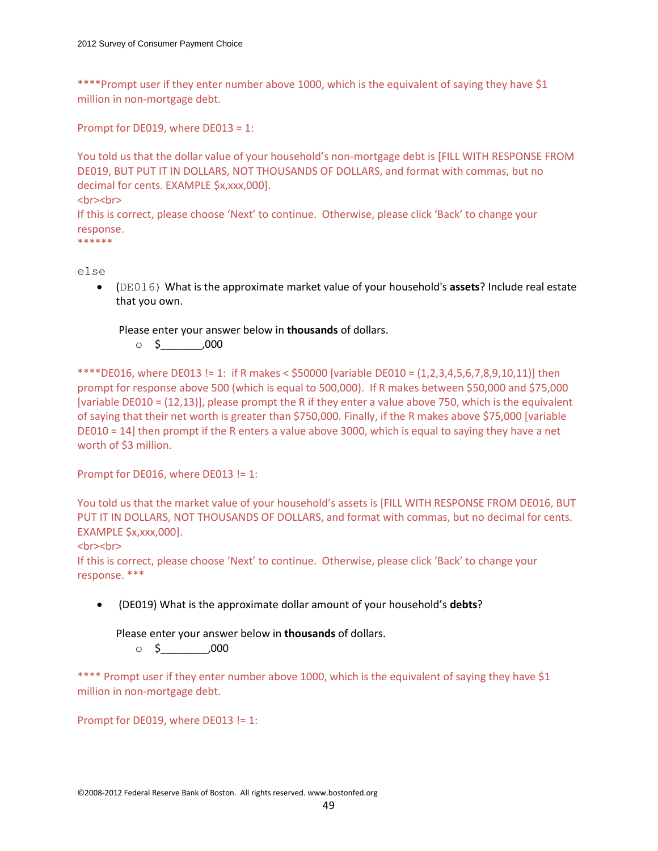\*\*\*\*Prompt user if they enter number above 1000, which is the equivalent of saying they have \$1 million in non-mortgage debt.

Prompt for DE019, where DE013 = 1:

You told us that the dollar value of your household's non-mortgage debt is [FILL WITH RESPONSE FROM DE019, BUT PUT IT IN DOLLARS, NOT THOUSANDS OF DOLLARS, and format with commas, but no decimal for cents. EXAMPLE \$x,xxx,000]. <br><br>

If this is correct, please choose 'Next' to continue. Otherwise, please click 'Back' to change your response.

\*\*\*\*\*\*

else

 (DE016) What is the approximate market value of your household's **assets**? Include real estate that you own.

Please enter your answer below in **thousands** of dollars.

 $\circ$  \$ ,000

\*\*\*\*DE016, where DE013 != 1: if R makes <  $$50000$  [variable DE010 =  $(1,2,3,4,5,6,7,8,9,10,11)$ ] then prompt for response above 500 (which is equal to 500,000). If R makes between \$50,000 and \$75,000 [variable DE010 = (12,13)], please prompt the R if they enter a value above 750, which is the equivalent of saying that their net worth is greater than \$750,000. Finally, if the R makes above \$75,000 [variable DE010 = 14] then prompt if the R enters a value above 3000, which is equal to saying they have a net worth of \$3 million.

Prompt for DE016, where DE013 != 1:

You told us that the market value of your household's assets is [FILL WITH RESPONSE FROM DE016, BUT PUT IT IN DOLLARS, NOT THOUSANDS OF DOLLARS, and format with commas, but no decimal for cents. EXAMPLE \$x,xxx,000].

<br>>
show

If this is correct, please choose 'Next' to continue. Otherwise, please click 'Back' to change your response. \*\*\*

(DE019) What is the approximate dollar amount of your household's **debts**?

Please enter your answer below in **thousands** of dollars.

 $\circ$  \$ ,000

\*\*\*\* Prompt user if they enter number above 1000, which is the equivalent of saying they have \$1 million in non-mortgage debt.

Prompt for DE019, where DE013 != 1: